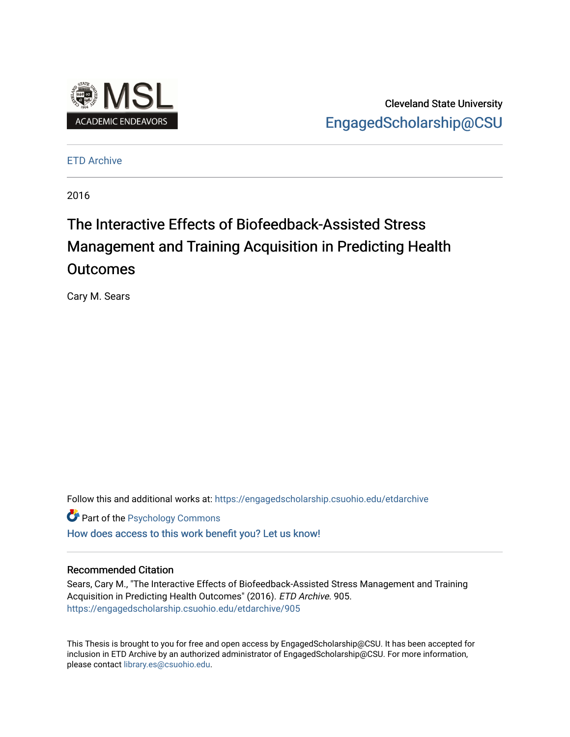

Cleveland State University [EngagedScholarship@CSU](https://engagedscholarship.csuohio.edu/) 

[ETD Archive](https://engagedscholarship.csuohio.edu/etdarchive)

2016

# The Interactive Effects of Biofeedback-Assisted Stress Management and Training Acquisition in Predicting Health **Outcomes**

Cary M. Sears

Follow this and additional works at: [https://engagedscholarship.csuohio.edu/etdarchive](https://engagedscholarship.csuohio.edu/etdarchive?utm_source=engagedscholarship.csuohio.edu%2Fetdarchive%2F905&utm_medium=PDF&utm_campaign=PDFCoverPages)

**Part of the Psychology Commons** 

[How does access to this work benefit you? Let us know!](http://library.csuohio.edu/engaged/)

# Recommended Citation

Sears, Cary M., "The Interactive Effects of Biofeedback-Assisted Stress Management and Training Acquisition in Predicting Health Outcomes" (2016). ETD Archive. 905. [https://engagedscholarship.csuohio.edu/etdarchive/905](https://engagedscholarship.csuohio.edu/etdarchive/905?utm_source=engagedscholarship.csuohio.edu%2Fetdarchive%2F905&utm_medium=PDF&utm_campaign=PDFCoverPages) 

This Thesis is brought to you for free and open access by EngagedScholarship@CSU. It has been accepted for inclusion in ETD Archive by an authorized administrator of EngagedScholarship@CSU. For more information, please contact [library.es@csuohio.edu.](mailto:library.es@csuohio.edu)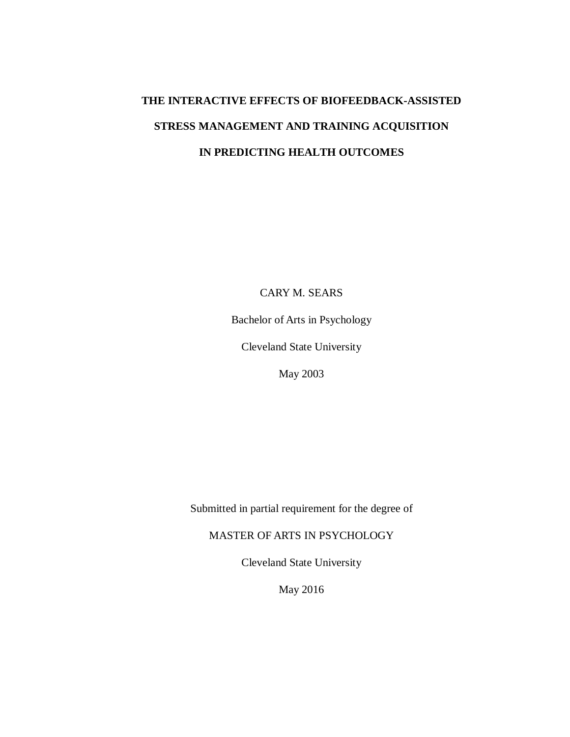# **THE INTERACTIVE EFFECTS OF BIOFEEDBACK-ASSISTED STRESS MANAGEMENT AND TRAINING ACQUISITION IN PREDICTING HEALTH OUTCOMES**

CARY M. SEARS

Bachelor of Arts in Psychology

Cleveland State University

May 2003

Submitted in partial requirement for the degree of

MASTER OF ARTS IN PSYCHOLOGY

Cleveland State University

May 2016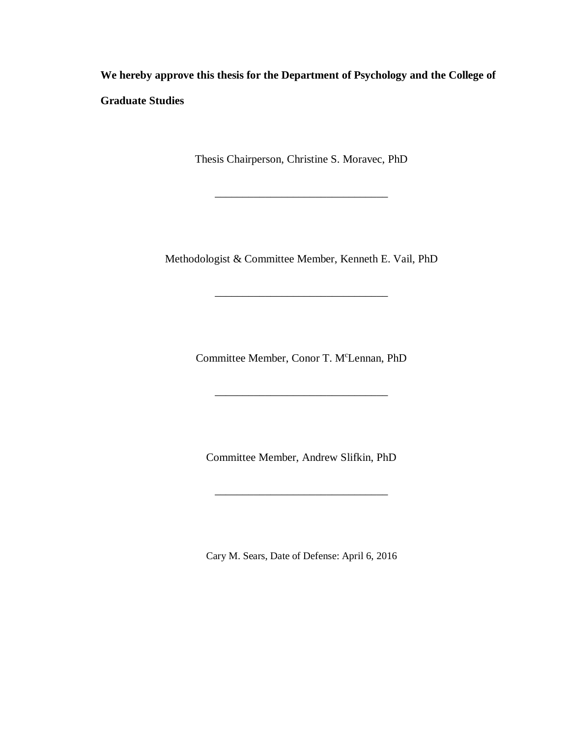**We hereby approve this thesis for the Department of Psychology and the College of Graduate Studies**

Thesis Chairperson, Christine S. Moravec, PhD

\_\_\_\_\_\_\_\_\_\_\_\_\_\_\_\_\_\_\_\_\_\_\_\_\_\_\_\_\_\_\_

Methodologist & Committee Member, Kenneth E. Vail, PhD

\_\_\_\_\_\_\_\_\_\_\_\_\_\_\_\_\_\_\_\_\_\_\_\_\_\_\_\_\_\_\_

Committee Member, Conor T. M<sup>c</sup>Lennan, PhD

 $\overline{\phantom{a}}$  , and the set of the set of the set of the set of the set of the set of the set of the set of the set of the set of the set of the set of the set of the set of the set of the set of the set of the set of the s

Committee Member, Andrew Slifkin, PhD

\_\_\_\_\_\_\_\_\_\_\_\_\_\_\_\_\_\_\_\_\_\_\_\_\_\_\_\_\_\_\_

Cary M. Sears, Date of Defense: April 6, 2016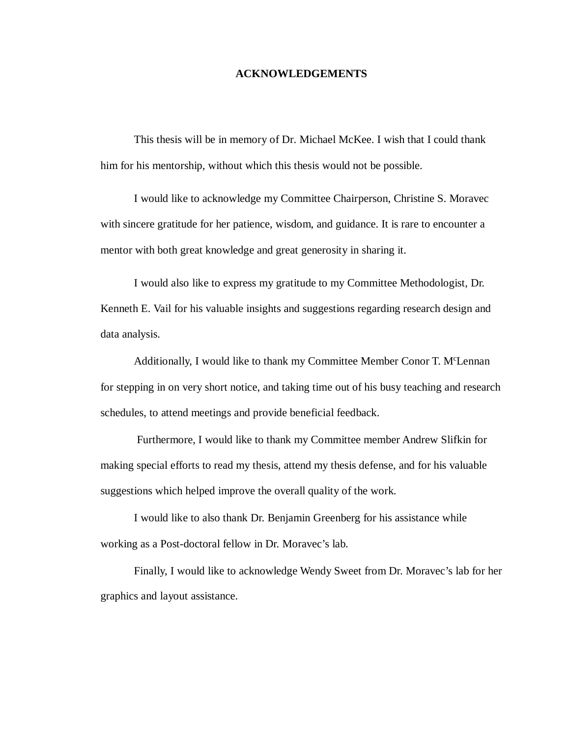### **ACKNOWLEDGEMENTS**

This thesis will be in memory of Dr. Michael McKee. I wish that I could thank him for his mentorship, without which this thesis would not be possible.

I would like to acknowledge my Committee Chairperson, Christine S. Moravec with sincere gratitude for her patience, wisdom, and guidance. It is rare to encounter a mentor with both great knowledge and great generosity in sharing it.

I would also like to express my gratitude to my Committee Methodologist, Dr. Kenneth E. Vail for his valuable insights and suggestions regarding research design and data analysis.

Additionally, I would like to thank my Committee Member Conor T. M<sup>c</sup>Lennan for stepping in on very short notice, and taking time out of his busy teaching and research schedules, to attend meetings and provide beneficial feedback.

Furthermore, I would like to thank my Committee member Andrew Slifkin for making special efforts to read my thesis, attend my thesis defense, and for his valuable suggestions which helped improve the overall quality of the work.

I would like to also thank Dr. Benjamin Greenberg for his assistance while working as a Post-doctoral fellow in Dr. Moravec's lab.

Finally, I would like to acknowledge Wendy Sweet from Dr. Moravec's lab for her graphics and layout assistance.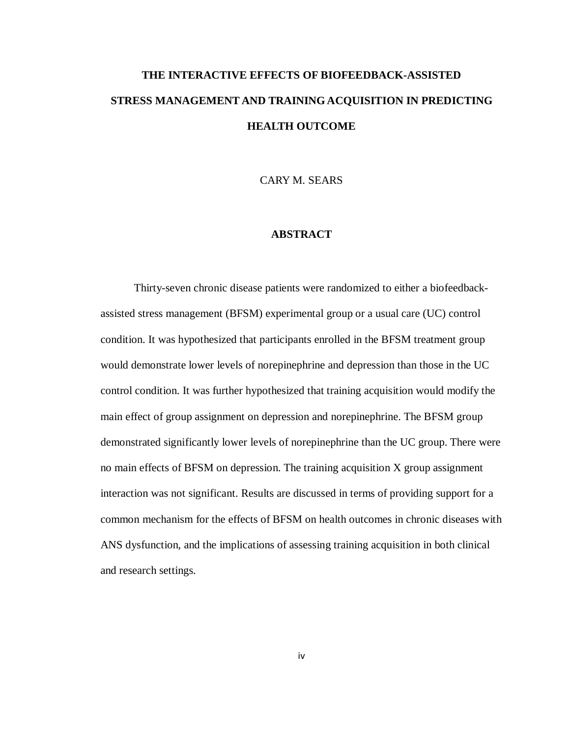# **THE INTERACTIVE EFFECTS OF BIOFEEDBACK-ASSISTED STRESS MANAGEMENT AND TRAINING ACQUISITION IN PREDICTING HEALTH OUTCOME**

CARY M. SEARS

# **ABSTRACT**

Thirty-seven chronic disease patients were randomized to either a biofeedbackassisted stress management (BFSM) experimental group or a usual care (UC) control condition. It was hypothesized that participants enrolled in the BFSM treatment group would demonstrate lower levels of norepinephrine and depression than those in the UC control condition. It was further hypothesized that training acquisition would modify the main effect of group assignment on depression and norepinephrine. The BFSM group demonstrated significantly lower levels of norepinephrine than the UC group. There were no main effects of BFSM on depression. The training acquisition X group assignment interaction was not significant. Results are discussed in terms of providing support for a common mechanism for the effects of BFSM on health outcomes in chronic diseases with ANS dysfunction, and the implications of assessing training acquisition in both clinical and research settings.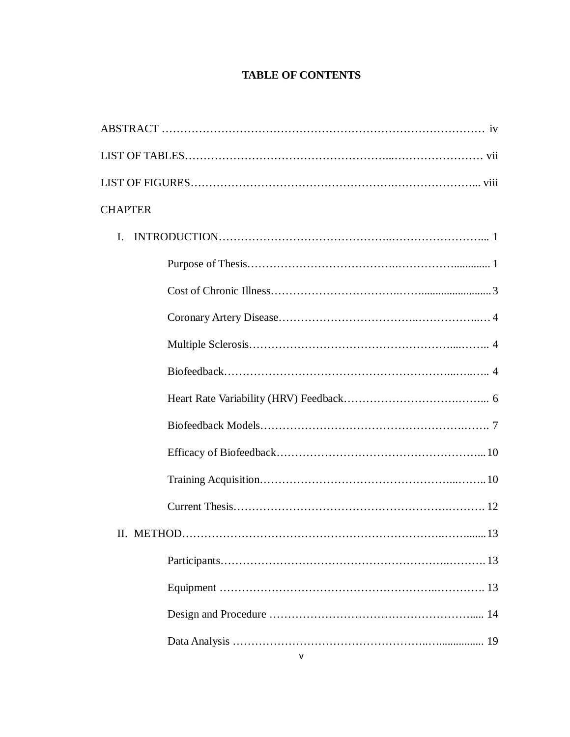# **TABLE OF CONTENTS**

| <b>CHAPTER</b> |
|----------------|
| I.             |
|                |
|                |
|                |
|                |
|                |
|                |
|                |
|                |
|                |
|                |
|                |
|                |
|                |
|                |
|                |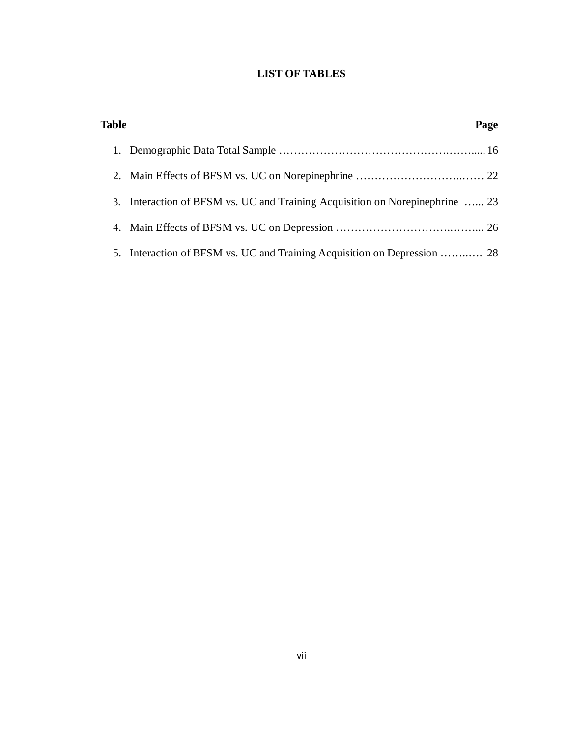# **LIST OF TABLES**

| <b>Table</b> |                                                                              | Page |
|--------------|------------------------------------------------------------------------------|------|
|              |                                                                              |      |
|              |                                                                              |      |
|              | 3. Interaction of BFSM vs. UC and Training Acquisition on Norepinephrine  23 |      |
|              |                                                                              |      |
|              | 5. Interaction of BFSM vs. UC and Training Acquisition on Depression  28     |      |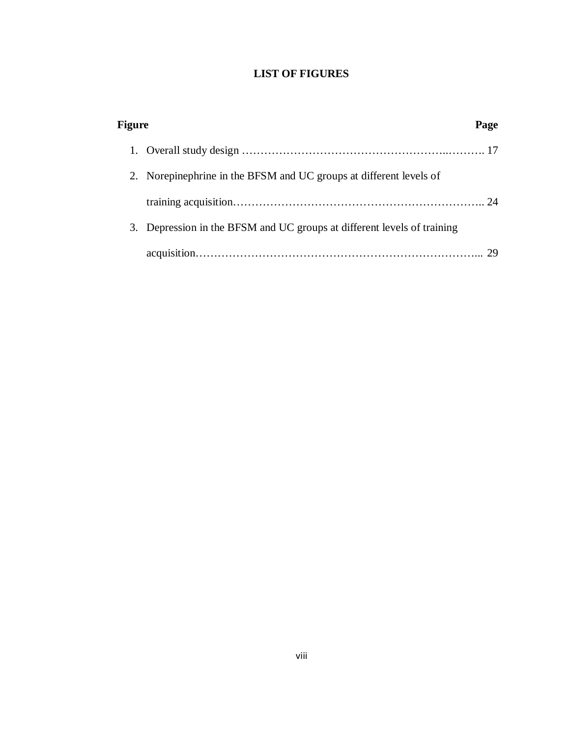# **LIST OF FIGURES**

| Figure |                                                                      | Page |
|--------|----------------------------------------------------------------------|------|
|        |                                                                      |      |
|        | 2. Norepinephrine in the BFSM and UC groups at different levels of   |      |
|        |                                                                      |      |
|        | Depression in the BFSM and UC groups at different levels of training |      |
|        |                                                                      |      |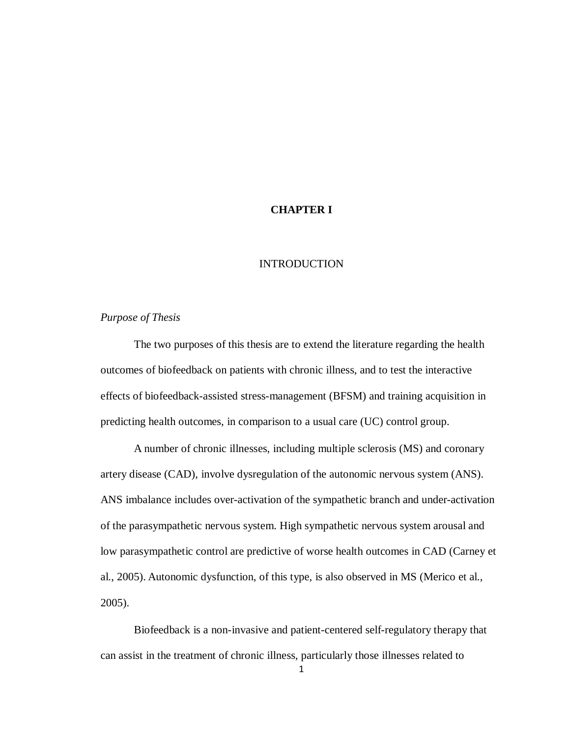# **CHAPTER I**

### INTRODUCTION

### *Purpose of Thesis*

The two purposes of this thesis are to extend the literature regarding the health outcomes of biofeedback on patients with chronic illness, and to test the interactive effects of biofeedback-assisted stress-management (BFSM) and training acquisition in predicting health outcomes, in comparison to a usual care (UC) control group.

A number of chronic illnesses, including multiple sclerosis (MS) and coronary artery disease (CAD), involve dysregulation of the autonomic nervous system (ANS). ANS imbalance includes over-activation of the sympathetic branch and under-activation of the parasympathetic nervous system. High sympathetic nervous system arousal and low parasympathetic control are predictive of worse health outcomes in CAD (Carney et al., 2005). Autonomic dysfunction, of this type, is also observed in MS (Merico et al., 2005).

Biofeedback is a non-invasive and patient-centered self-regulatory therapy that can assist in the treatment of chronic illness, particularly those illnesses related to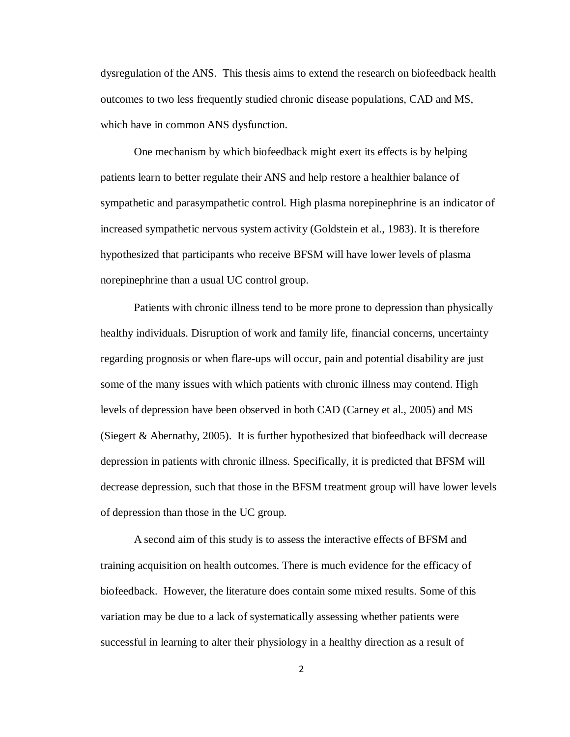dysregulation of the ANS. This thesis aims to extend the research on biofeedback health outcomes to two less frequently studied chronic disease populations, CAD and MS, which have in common ANS dysfunction.

One mechanism by which biofeedback might exert its effects is by helping patients learn to better regulate their ANS and help restore a healthier balance of sympathetic and parasympathetic control. High plasma norepinephrine is an indicator of increased sympathetic nervous system activity (Goldstein et al., 1983). It is therefore hypothesized that participants who receive BFSM will have lower levels of plasma norepinephrine than a usual UC control group.

Patients with chronic illness tend to be more prone to depression than physically healthy individuals. Disruption of work and family life, financial concerns, uncertainty regarding prognosis or when flare-ups will occur, pain and potential disability are just some of the many issues with which patients with chronic illness may contend. High levels of depression have been observed in both CAD (Carney et al., 2005) and MS (Siegert & Abernathy, 2005). It is further hypothesized that biofeedback will decrease depression in patients with chronic illness. Specifically, it is predicted that BFSM will decrease depression, such that those in the BFSM treatment group will have lower levels of depression than those in the UC group.

A second aim of this study is to assess the interactive effects of BFSM and training acquisition on health outcomes. There is much evidence for the efficacy of biofeedback. However, the literature does contain some mixed results. Some of this variation may be due to a lack of systematically assessing whether patients were successful in learning to alter their physiology in a healthy direction as a result of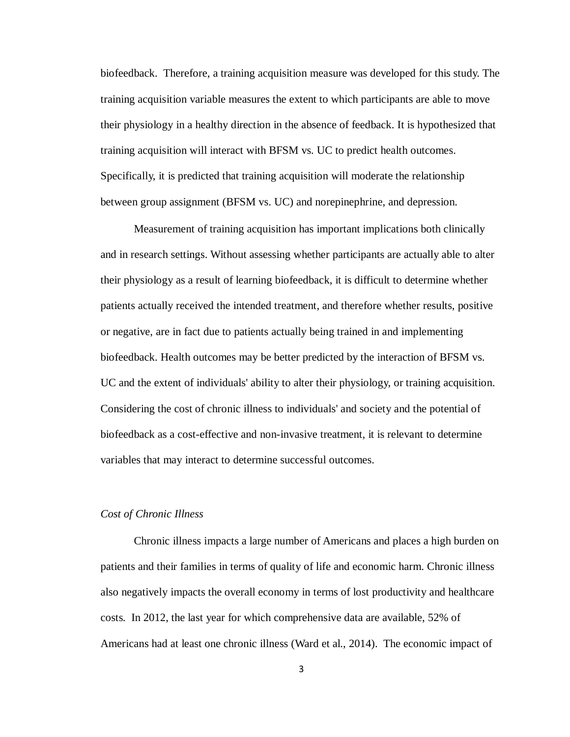biofeedback. Therefore, a training acquisition measure was developed for this study. The training acquisition variable measures the extent to which participants are able to move their physiology in a healthy direction in the absence of feedback. It is hypothesized that training acquisition will interact with BFSM vs. UC to predict health outcomes. Specifically, it is predicted that training acquisition will moderate the relationship between group assignment (BFSM vs. UC) and norepinephrine, and depression.

Measurement of training acquisition has important implications both clinically and in research settings. Without assessing whether participants are actually able to alter their physiology as a result of learning biofeedback, it is difficult to determine whether patients actually received the intended treatment, and therefore whether results, positive or negative, are in fact due to patients actually being trained in and implementing biofeedback. Health outcomes may be better predicted by the interaction of BFSM vs. UC and the extent of individuals' ability to alter their physiology, or training acquisition. Considering the cost of chronic illness to individuals' and society and the potential of biofeedback as a cost-effective and non-invasive treatment, it is relevant to determine variables that may interact to determine successful outcomes.

#### *Cost of Chronic Illness*

Chronic illness impacts a large number of Americans and places a high burden on patients and their families in terms of quality of life and economic harm. Chronic illness also negatively impacts the overall economy in terms of lost productivity and healthcare costs. In 2012, the last year for which comprehensive data are available, 52% of Americans had at least one chronic illness (Ward et al., 2014). The economic impact of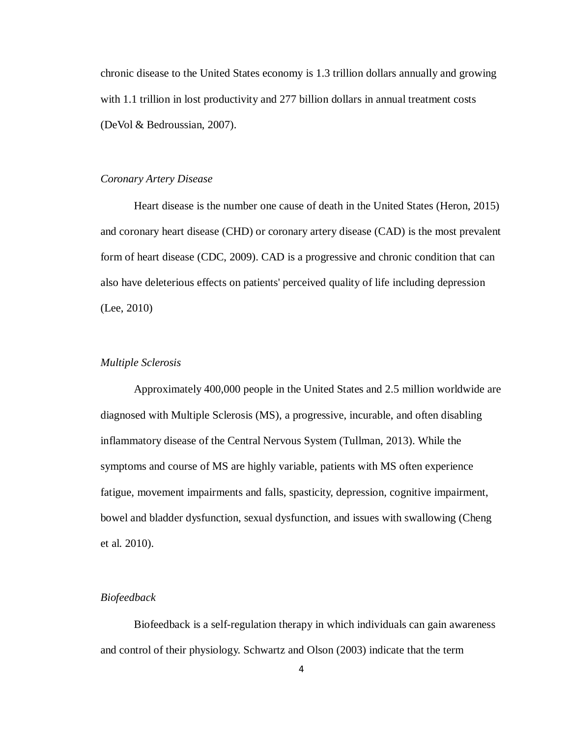chronic disease to the United States economy is 1.3 trillion dollars annually and growing with 1.1 trillion in lost productivity and 277 billion dollars in annual treatment costs (DeVol & Bedroussian, 2007).

# *Coronary Artery Disease*

Heart disease is the number one cause of death in the United States (Heron, 2015) and coronary heart disease (CHD) or coronary artery disease (CAD) is the most prevalent form of heart disease (CDC, 2009). CAD is a progressive and chronic condition that can also have deleterious effects on patients' perceived quality of life including depression (Lee, 2010)

#### *Multiple Sclerosis*

Approximately 400,000 people in the United States and 2.5 million worldwide are diagnosed with Multiple Sclerosis (MS), a progressive, incurable, and often disabling inflammatory disease of the Central Nervous System (Tullman, 2013). While the symptoms and course of MS are highly variable, patients with MS often experience fatigue, movement impairments and falls, spasticity, depression, cognitive impairment, bowel and bladder dysfunction, sexual dysfunction, and issues with swallowing (Cheng et al. 2010).

#### *Biofeedback*

Biofeedback is a self-regulation therapy in which individuals can gain awareness and control of their physiology. Schwartz and Olson (2003) indicate that the term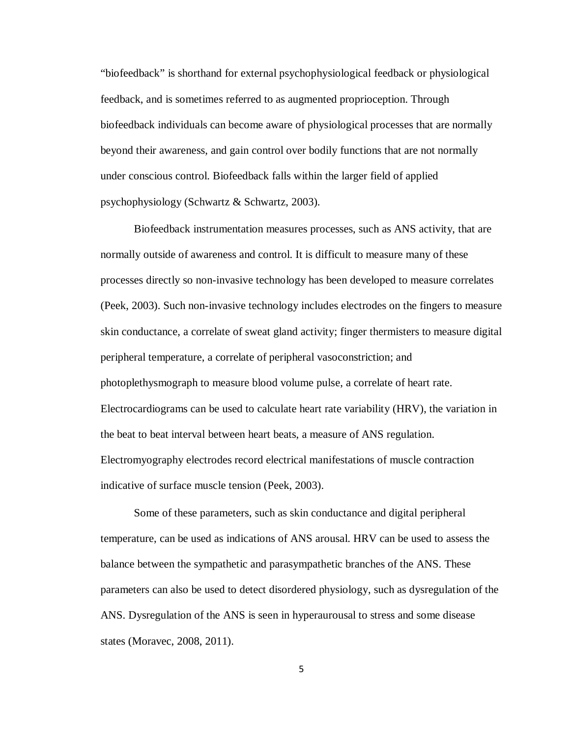"biofeedback" is shorthand for external psychophysiological feedback or physiological feedback, and is sometimes referred to as augmented proprioception. Through biofeedback individuals can become aware of physiological processes that are normally beyond their awareness, and gain control over bodily functions that are not normally under conscious control. Biofeedback falls within the larger field of applied psychophysiology (Schwartz & Schwartz, 2003).

Biofeedback instrumentation measures processes, such as ANS activity, that are normally outside of awareness and control. It is difficult to measure many of these processes directly so non-invasive technology has been developed to measure correlates (Peek, 2003). Such non-invasive technology includes electrodes on the fingers to measure skin conductance, a correlate of sweat gland activity; finger thermisters to measure digital peripheral temperature, a correlate of peripheral vasoconstriction; and photoplethysmograph to measure blood volume pulse, a correlate of heart rate. Electrocardiograms can be used to calculate heart rate variability (HRV), the variation in the beat to beat interval between heart beats, a measure of ANS regulation. Electromyography electrodes record electrical manifestations of muscle contraction indicative of surface muscle tension (Peek, 2003).

Some of these parameters, such as skin conductance and digital peripheral temperature, can be used as indications of ANS arousal. HRV can be used to assess the balance between the sympathetic and parasympathetic branches of the ANS. These parameters can also be used to detect disordered physiology, such as dysregulation of the ANS. Dysregulation of the ANS is seen in hyperaurousal to stress and some disease states (Moravec, 2008, 2011).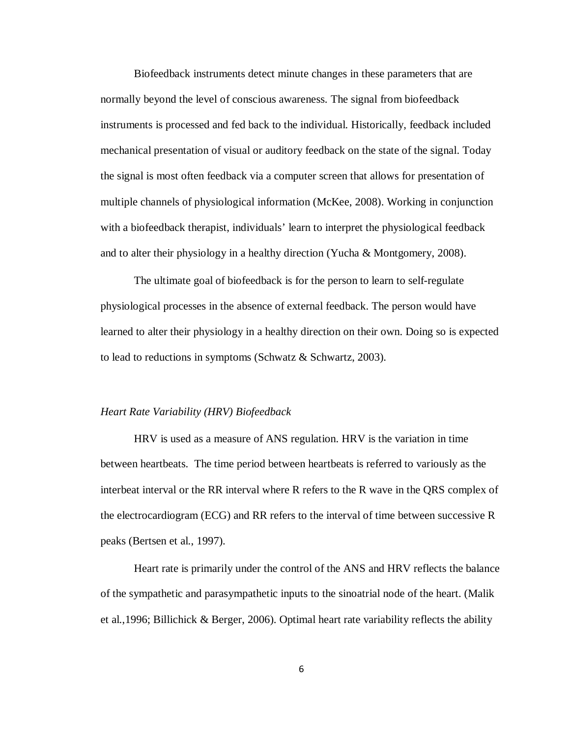Biofeedback instruments detect minute changes in these parameters that are normally beyond the level of conscious awareness. The signal from biofeedback instruments is processed and fed back to the individual. Historically, feedback included mechanical presentation of visual or auditory feedback on the state of the signal. Today the signal is most often feedback via a computer screen that allows for presentation of multiple channels of physiological information (McKee, 2008). Working in conjunction with a biofeedback therapist, individuals' learn to interpret the physiological feedback and to alter their physiology in a healthy direction (Yucha & Montgomery, 2008).

The ultimate goal of biofeedback is for the person to learn to self-regulate physiological processes in the absence of external feedback. The person would have learned to alter their physiology in a healthy direction on their own. Doing so is expected to lead to reductions in symptoms (Schwatz & Schwartz, 2003).

#### *Heart Rate Variability (HRV) Biofeedback*

HRV is used as a measure of ANS regulation. HRV is the variation in time between heartbeats. The time period between heartbeats is referred to variously as the interbeat interval or the RR interval where R refers to the R wave in the QRS complex of the electrocardiogram (ECG) and RR refers to the interval of time between successive R peaks (Bertsen et al., 1997).

Heart rate is primarily under the control of the ANS and HRV reflects the balance of the sympathetic and parasympathetic inputs to the sinoatrial node of the heart. (Malik et al.,1996; Billichick & Berger, 2006). Optimal heart rate variability reflects the ability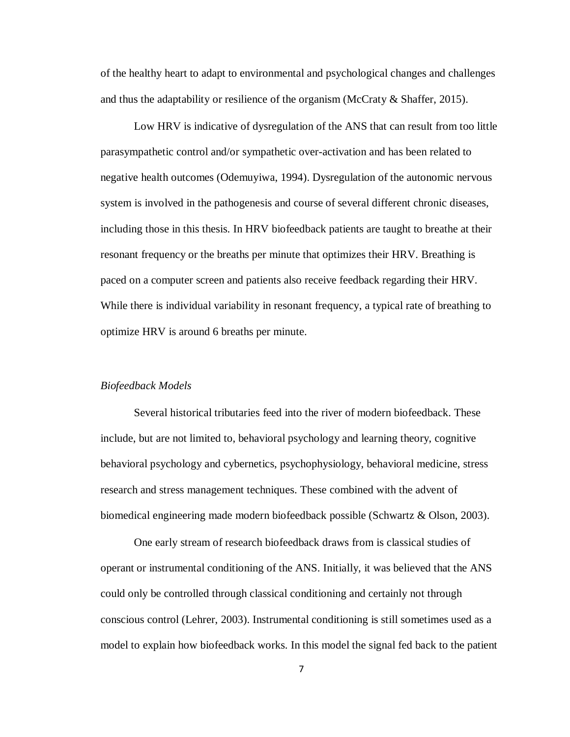of the healthy heart to adapt to environmental and psychological changes and challenges and thus the adaptability or resilience of the organism (McCraty & Shaffer, 2015).

Low HRV is indicative of dysregulation of the ANS that can result from too little parasympathetic control and/or sympathetic over-activation and has been related to negative health outcomes (Odemuyiwa, 1994). Dysregulation of the autonomic nervous system is involved in the pathogenesis and course of several different chronic diseases, including those in this thesis. In HRV biofeedback patients are taught to breathe at their resonant frequency or the breaths per minute that optimizes their HRV. Breathing is paced on a computer screen and patients also receive feedback regarding their HRV. While there is individual variability in resonant frequency, a typical rate of breathing to optimize HRV is around 6 breaths per minute.

#### *Biofeedback Models*

Several historical tributaries feed into the river of modern biofeedback. These include, but are not limited to, behavioral psychology and learning theory, cognitive behavioral psychology and cybernetics, psychophysiology, behavioral medicine, stress research and stress management techniques. These combined with the advent of biomedical engineering made modern biofeedback possible (Schwartz & Olson, 2003).

One early stream of research biofeedback draws from is classical studies of operant or instrumental conditioning of the ANS. Initially, it was believed that the ANS could only be controlled through classical conditioning and certainly not through conscious control (Lehrer, 2003). Instrumental conditioning is still sometimes used as a model to explain how biofeedback works. In this model the signal fed back to the patient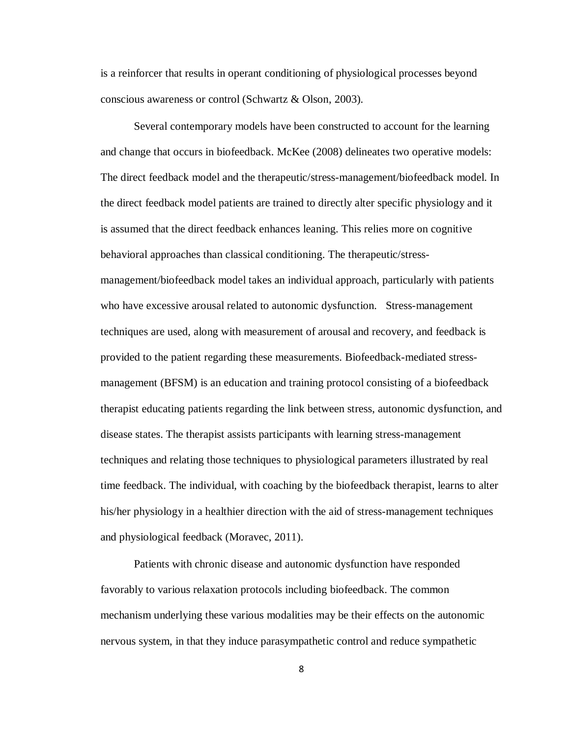is a reinforcer that results in operant conditioning of physiological processes beyond conscious awareness or control (Schwartz & Olson, 2003).

Several contemporary models have been constructed to account for the learning and change that occurs in biofeedback. McKee (2008) delineates two operative models: The direct feedback model and the therapeutic/stress-management/biofeedback model. In the direct feedback model patients are trained to directly alter specific physiology and it is assumed that the direct feedback enhances leaning. This relies more on cognitive behavioral approaches than classical conditioning. The therapeutic/stressmanagement/biofeedback model takes an individual approach, particularly with patients who have excessive arousal related to autonomic dysfunction. Stress-management techniques are used, along with measurement of arousal and recovery, and feedback is provided to the patient regarding these measurements. Biofeedback-mediated stressmanagement (BFSM) is an education and training protocol consisting of a biofeedback therapist educating patients regarding the link between stress, autonomic dysfunction, and disease states. The therapist assists participants with learning stress-management techniques and relating those techniques to physiological parameters illustrated by real time feedback. The individual, with coaching by the biofeedback therapist, learns to alter his/her physiology in a healthier direction with the aid of stress-management techniques and physiological feedback (Moravec, 2011).

Patients with chronic disease and autonomic dysfunction have responded favorably to various relaxation protocols including biofeedback. The common mechanism underlying these various modalities may be their effects on the autonomic nervous system, in that they induce parasympathetic control and reduce sympathetic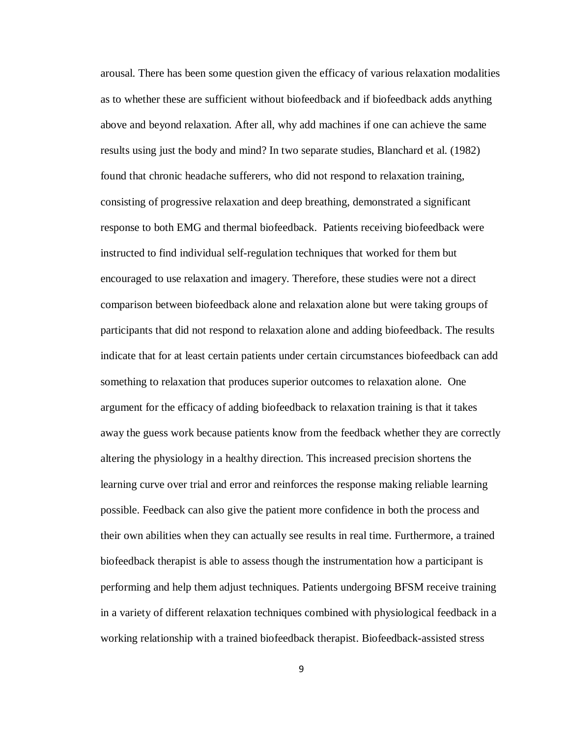arousal. There has been some question given the efficacy of various relaxation modalities as to whether these are sufficient without biofeedback and if biofeedback adds anything above and beyond relaxation. After all, why add machines if one can achieve the same results using just the body and mind? In two separate studies, Blanchard et al. (1982) found that chronic headache sufferers, who did not respond to relaxation training, consisting of progressive relaxation and deep breathing, demonstrated a significant response to both EMG and thermal biofeedback. Patients receiving biofeedback were instructed to find individual self-regulation techniques that worked for them but encouraged to use relaxation and imagery. Therefore, these studies were not a direct comparison between biofeedback alone and relaxation alone but were taking groups of participants that did not respond to relaxation alone and adding biofeedback. The results indicate that for at least certain patients under certain circumstances biofeedback can add something to relaxation that produces superior outcomes to relaxation alone. One argument for the efficacy of adding biofeedback to relaxation training is that it takes away the guess work because patients know from the feedback whether they are correctly altering the physiology in a healthy direction. This increased precision shortens the learning curve over trial and error and reinforces the response making reliable learning possible. Feedback can also give the patient more confidence in both the process and their own abilities when they can actually see results in real time. Furthermore, a trained biofeedback therapist is able to assess though the instrumentation how a participant is performing and help them adjust techniques. Patients undergoing BFSM receive training in a variety of different relaxation techniques combined with physiological feedback in a working relationship with a trained biofeedback therapist. Biofeedback-assisted stress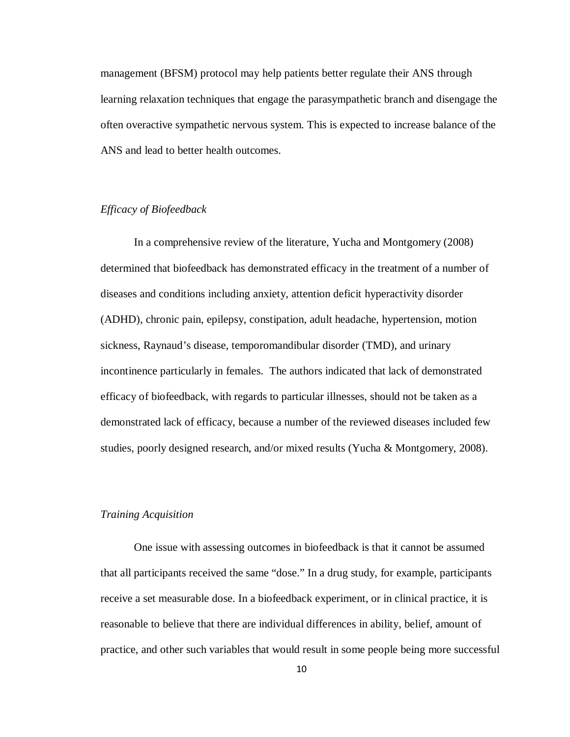management (BFSM) protocol may help patients better regulate their ANS through learning relaxation techniques that engage the parasympathetic branch and disengage the often overactive sympathetic nervous system. This is expected to increase balance of the ANS and lead to better health outcomes.

# *Efficacy of Biofeedback*

In a comprehensive review of the literature, Yucha and Montgomery (2008) determined that biofeedback has demonstrated efficacy in the treatment of a number of diseases and conditions including anxiety, attention deficit hyperactivity disorder (ADHD), chronic pain, epilepsy, constipation, adult headache, hypertension, motion sickness, Raynaud's disease, temporomandibular disorder (TMD), and urinary incontinence particularly in females. The authors indicated that lack of demonstrated efficacy of biofeedback, with regards to particular illnesses, should not be taken as a demonstrated lack of efficacy, because a number of the reviewed diseases included few studies, poorly designed research, and/or mixed results (Yucha & Montgomery, 2008).

# *Training Acquisition*

One issue with assessing outcomes in biofeedback is that it cannot be assumed that all participants received the same "dose." In a drug study, for example, participants receive a set measurable dose. In a biofeedback experiment, or in clinical practice, it is reasonable to believe that there are individual differences in ability, belief, amount of practice, and other such variables that would result in some people being more successful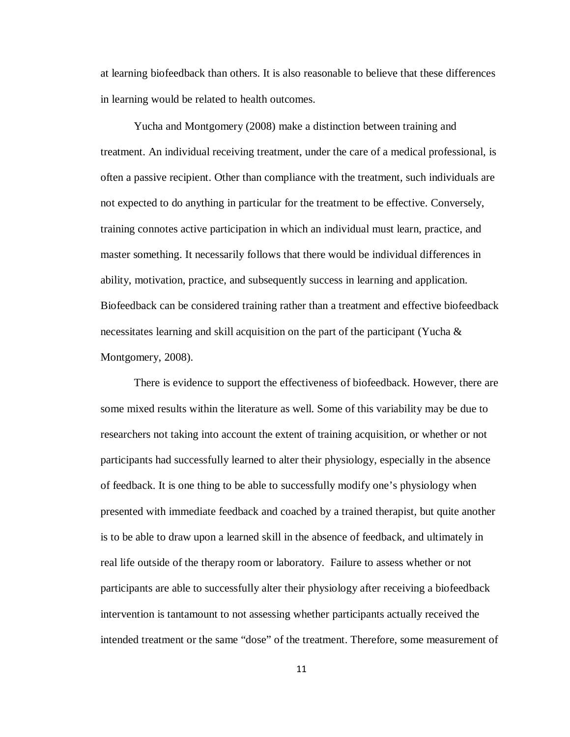at learning biofeedback than others. It is also reasonable to believe that these differences in learning would be related to health outcomes.

Yucha and Montgomery (2008) make a distinction between training and treatment. An individual receiving treatment, under the care of a medical professional, is often a passive recipient. Other than compliance with the treatment, such individuals are not expected to do anything in particular for the treatment to be effective. Conversely, training connotes active participation in which an individual must learn, practice, and master something. It necessarily follows that there would be individual differences in ability, motivation, practice, and subsequently success in learning and application. Biofeedback can be considered training rather than a treatment and effective biofeedback necessitates learning and skill acquisition on the part of the participant (Yucha & Montgomery, 2008).

There is evidence to support the effectiveness of biofeedback. However, there are some mixed results within the literature as well. Some of this variability may be due to researchers not taking into account the extent of training acquisition, or whether or not participants had successfully learned to alter their physiology, especially in the absence of feedback. It is one thing to be able to successfully modify one's physiology when presented with immediate feedback and coached by a trained therapist, but quite another is to be able to draw upon a learned skill in the absence of feedback, and ultimately in real life outside of the therapy room or laboratory. Failure to assess whether or not participants are able to successfully alter their physiology after receiving a biofeedback intervention is tantamount to not assessing whether participants actually received the intended treatment or the same "dose" of the treatment. Therefore, some measurement of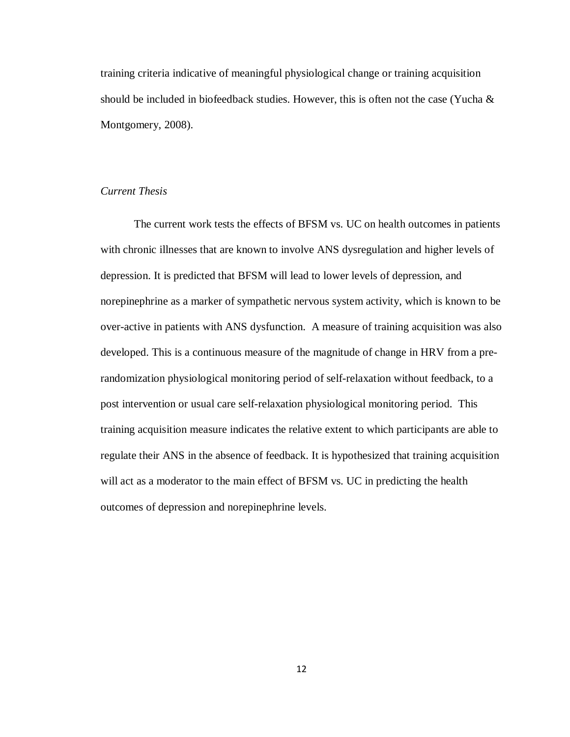training criteria indicative of meaningful physiological change or training acquisition should be included in biofeedback studies. However, this is often not the case (Yucha  $\&$ Montgomery, 2008).

# *Current Thesis*

The current work tests the effects of BFSM vs. UC on health outcomes in patients with chronic illnesses that are known to involve ANS dysregulation and higher levels of depression. It is predicted that BFSM will lead to lower levels of depression, and norepinephrine as a marker of sympathetic nervous system activity, which is known to be over-active in patients with ANS dysfunction. A measure of training acquisition was also developed. This is a continuous measure of the magnitude of change in HRV from a prerandomization physiological monitoring period of self-relaxation without feedback, to a post intervention or usual care self-relaxation physiological monitoring period. This training acquisition measure indicates the relative extent to which participants are able to regulate their ANS in the absence of feedback. It is hypothesized that training acquisition will act as a moderator to the main effect of BFSM vs. UC in predicting the health outcomes of depression and norepinephrine levels.

12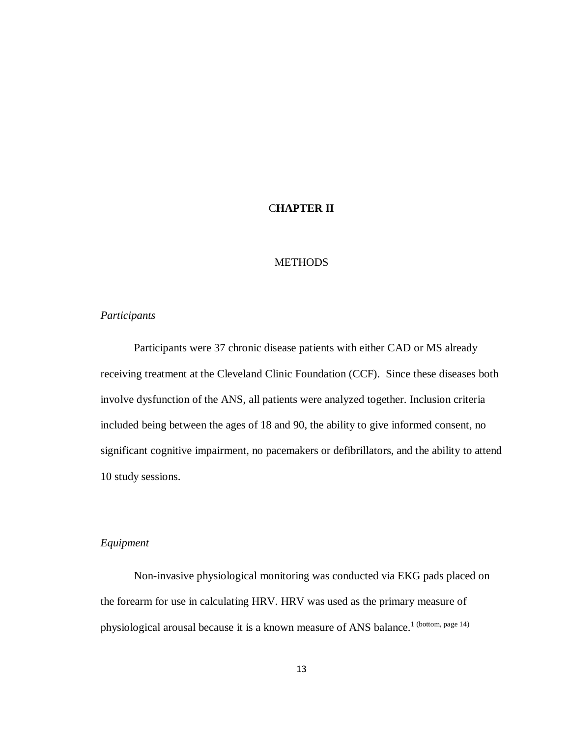# C**HAPTER II**

# **METHODS**

#### *Participants*

Participants were 37 chronic disease patients with either CAD or MS already receiving treatment at the Cleveland Clinic Foundation (CCF). Since these diseases both involve dysfunction of the ANS, all patients were analyzed together. Inclusion criteria included being between the ages of 18 and 90, the ability to give informed consent, no significant cognitive impairment, no pacemakers or defibrillators, and the ability to attend 10 study sessions.

# *Equipment*

Non-invasive physiological monitoring was conducted via EKG pads placed on the forearm for use in calculating HRV. HRV was used as the primary measure of physiological arousal because it is a known measure of ANS balance.<sup>1</sup> (bottom, page 14)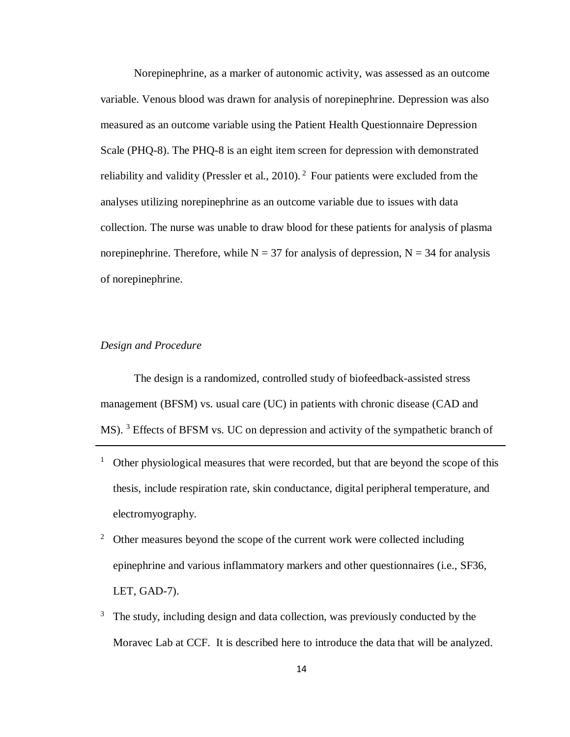Norepinephrine, as a marker of autonomic activity, was assessed as an outcome variable. Venous blood was drawn for analysis of norepinephrine. Depression was also measured as an outcome variable using the Patient Health Questionnaire Depression Scale (PHQ-8). The PHQ-8 is an eight item screen for depression with demonstrated reliability and validity (Pressler et al., 2010).<sup>2</sup> Four patients were excluded from the analyses utilizing norepinephrine as an outcome variable due to issues with data collection. The nurse was unable to draw blood for these patients for analysis of plasma norepinephrine. Therefore, while  $N = 37$  for analysis of depression,  $N = 34$  for analysis of norepinephrine.

### *Design and Procedure*

The design is a randomized, controlled study of biofeedback-assisted stress management (BFSM) vs. usual care (UC) in patients with chronic disease (CAD and MS). <sup>3</sup> Effects of BFSM vs. UC on depression and activity of the sympathetic branch of

- <sup>1</sup> Other physiological measures that were recorded, but that are beyond the scope of this thesis, include respiration rate, skin conductance, digital peripheral temperature, and electromyography.
- <sup>2</sup> Other measures beyond the scope of the current work were collected including epinephrine and various inflammatory markers and other questionnaires (i.e., SF36, LET, GAD-7).
- $3$  The study, including design and data collection, was previously conducted by the Moravec Lab at CCF. It is described here to introduce the data that will be analyzed.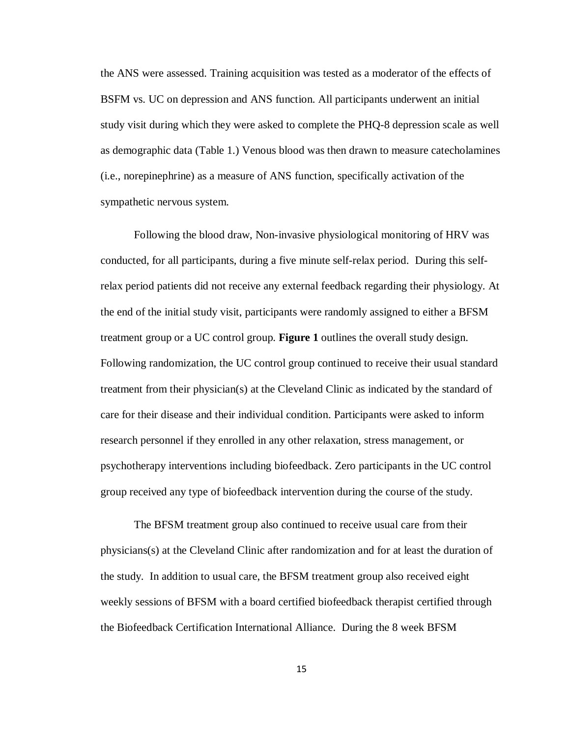the ANS were assessed. Training acquisition was tested as a moderator of the effects of BSFM vs. UC on depression and ANS function. All participants underwent an initial study visit during which they were asked to complete the PHQ-8 depression scale as well as demographic data (Table 1.) Venous blood was then drawn to measure catecholamines (i.e., norepinephrine) as a measure of ANS function, specifically activation of the sympathetic nervous system.

Following the blood draw, Non-invasive physiological monitoring of HRV was conducted, for all participants, during a five minute self-relax period. During this selfrelax period patients did not receive any external feedback regarding their physiology. At the end of the initial study visit, participants were randomly assigned to either a BFSM treatment group or a UC control group. **Figure 1** outlines the overall study design. Following randomization, the UC control group continued to receive their usual standard treatment from their physician(s) at the Cleveland Clinic as indicated by the standard of care for their disease and their individual condition. Participants were asked to inform research personnel if they enrolled in any other relaxation, stress management, or psychotherapy interventions including biofeedback. Zero participants in the UC control group received any type of biofeedback intervention during the course of the study.

The BFSM treatment group also continued to receive usual care from their physicians(s) at the Cleveland Clinic after randomization and for at least the duration of the study. In addition to usual care, the BFSM treatment group also received eight weekly sessions of BFSM with a board certified biofeedback therapist certified through the Biofeedback Certification International Alliance. During the 8 week BFSM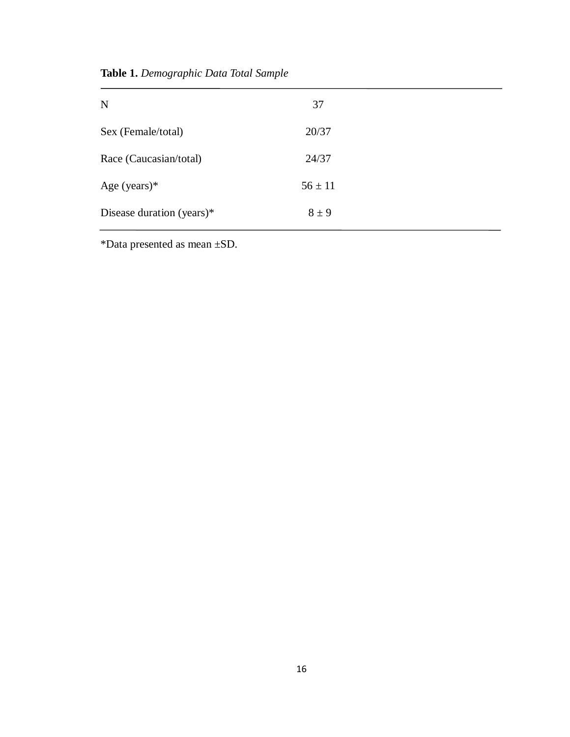**Table 1.** *Demographic Data Total Sample*

| $\mathbf N$               | 37          |  |
|---------------------------|-------------|--|
| Sex (Female/total)        | 20/37       |  |
| Race (Caucasian/total)    | 24/37       |  |
| Age (years) $*$           | $56 \pm 11$ |  |
| Disease duration (years)* | $8 \pm 9$   |  |

\*Data presented as mean ±SD.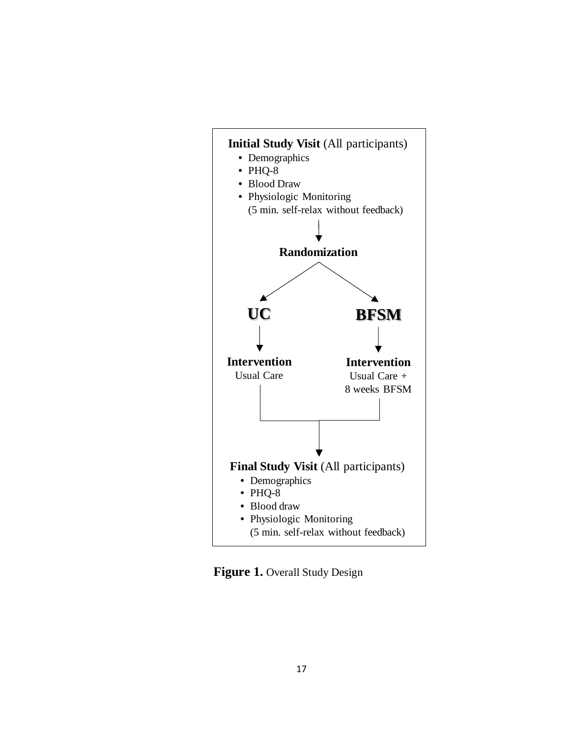

**Figure 1.** Overall Study Design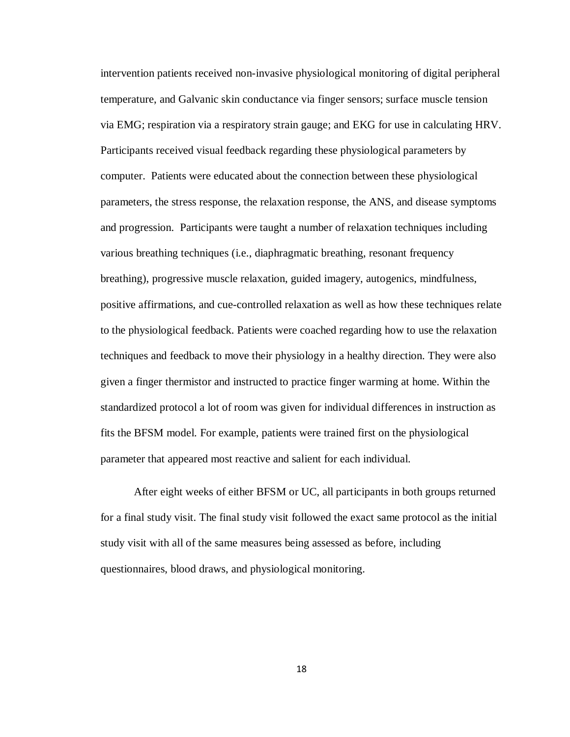intervention patients received non-invasive physiological monitoring of digital peripheral temperature, and Galvanic skin conductance via finger sensors; surface muscle tension via EMG; respiration via a respiratory strain gauge; and EKG for use in calculating HRV. Participants received visual feedback regarding these physiological parameters by computer. Patients were educated about the connection between these physiological parameters, the stress response, the relaxation response, the ANS, and disease symptoms and progression. Participants were taught a number of relaxation techniques including various breathing techniques (i.e., diaphragmatic breathing, resonant frequency breathing), progressive muscle relaxation, guided imagery, autogenics, mindfulness, positive affirmations, and cue-controlled relaxation as well as how these techniques relate to the physiological feedback. Patients were coached regarding how to use the relaxation techniques and feedback to move their physiology in a healthy direction. They were also given a finger thermistor and instructed to practice finger warming at home. Within the standardized protocol a lot of room was given for individual differences in instruction as fits the BFSM model. For example, patients were trained first on the physiological parameter that appeared most reactive and salient for each individual.

After eight weeks of either BFSM or UC, all participants in both groups returned for a final study visit. The final study visit followed the exact same protocol as the initial study visit with all of the same measures being assessed as before, including questionnaires, blood draws, and physiological monitoring.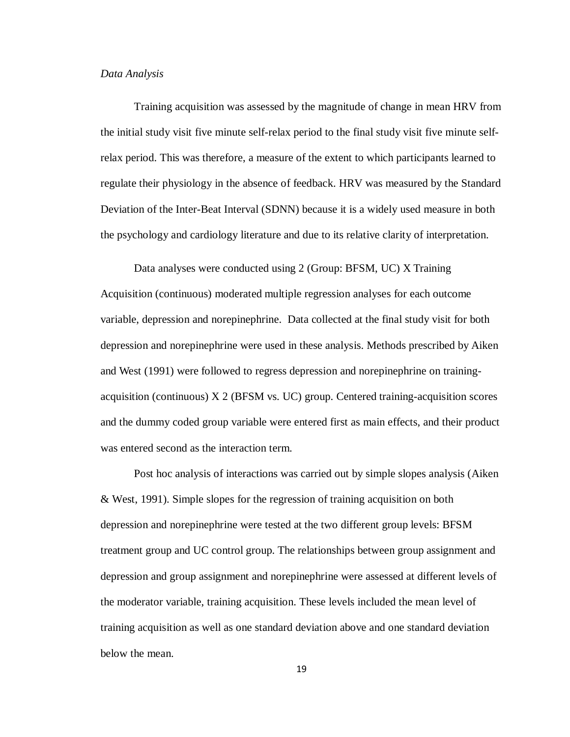#### *Data Analysis*

Training acquisition was assessed by the magnitude of change in mean HRV from the initial study visit five minute self-relax period to the final study visit five minute selfrelax period. This was therefore, a measure of the extent to which participants learned to regulate their physiology in the absence of feedback. HRV was measured by the Standard Deviation of the Inter-Beat Interval (SDNN) because it is a widely used measure in both the psychology and cardiology literature and due to its relative clarity of interpretation.

Data analyses were conducted using 2 (Group: BFSM, UC) X Training Acquisition (continuous) moderated multiple regression analyses for each outcome variable, depression and norepinephrine. Data collected at the final study visit for both depression and norepinephrine were used in these analysis. Methods prescribed by Aiken and West (1991) were followed to regress depression and norepinephrine on trainingacquisition (continuous) X 2 (BFSM vs. UC) group. Centered training-acquisition scores and the dummy coded group variable were entered first as main effects, and their product was entered second as the interaction term.

Post hoc analysis of interactions was carried out by simple slopes analysis (Aiken & West, 1991). Simple slopes for the regression of training acquisition on both depression and norepinephrine were tested at the two different group levels: BFSM treatment group and UC control group. The relationships between group assignment and depression and group assignment and norepinephrine were assessed at different levels of the moderator variable, training acquisition. These levels included the mean level of training acquisition as well as one standard deviation above and one standard deviation below the mean.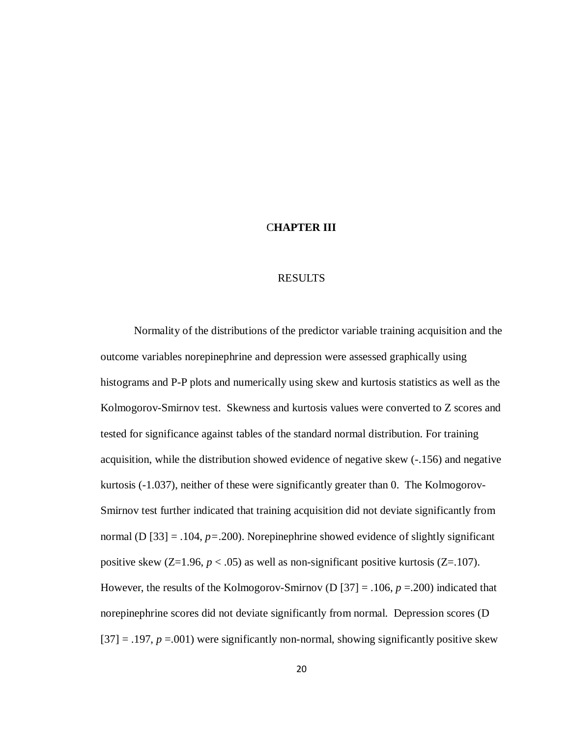#### C**HAPTER III**

#### RESULTS

Normality of the distributions of the predictor variable training acquisition and the outcome variables norepinephrine and depression were assessed graphically using histograms and P-P plots and numerically using skew and kurtosis statistics as well as the Kolmogorov-Smirnov test. Skewness and kurtosis values were converted to Z scores and tested for significance against tables of the standard normal distribution. For training acquisition, while the distribution showed evidence of negative skew (-.156) and negative kurtosis (-1.037), neither of these were significantly greater than 0. The Kolmogorov-Smirnov test further indicated that training acquisition did not deviate significantly from normal (D [33] = .104, *p=*.200). Norepinephrine showed evidence of slightly significant positive skew  $(Z=1.96, p < .05)$  as well as non-significant positive kurtosis  $(Z=107)$ . However, the results of the Kolmogorov-Smirnov (D [37] = .106, *p* =.200) indicated that norepinephrine scores did not deviate significantly from normal. Depression scores (D  $[37] = .197$ ,  $p = .001$ ) were significantly non-normal, showing significantly positive skew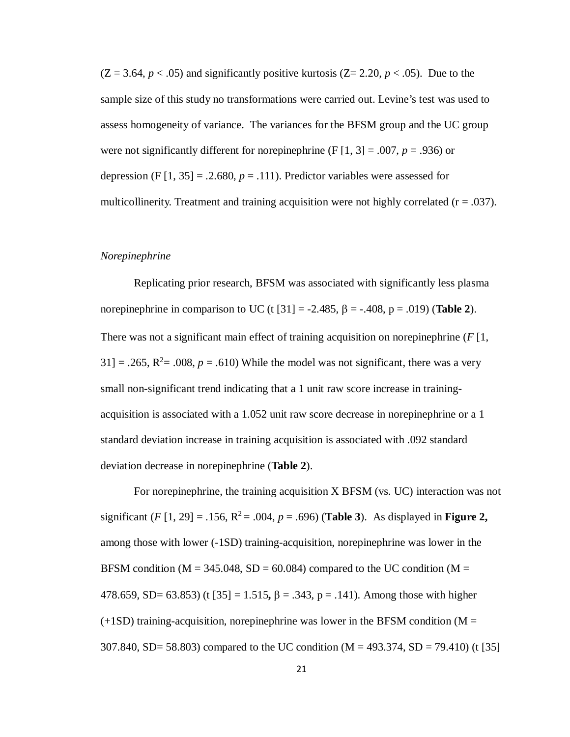$(Z = 3.64, p < .05)$  and significantly positive kurtosis  $(Z = 2.20, p < .05)$ . Due to the sample size of this study no transformations were carried out. Levine's test was used to assess homogeneity of variance. The variances for the BFSM group and the UC group were not significantly different for norepinephrine  $(F[1, 3] = .007, p = .936)$  or depression  $(F [1, 35] = .2.680, p = .111)$ . Predictor variables were assessed for multicollinerity. Treatment and training acquisition were not highly correlated  $(r = .037)$ .

# *Norepinephrine*

Replicating prior research, BFSM was associated with significantly less plasma norepinephrine in comparison to UC (t  $[31] = -2.485$ ,  $\beta = -.408$ ,  $p = .019$ ) (**Table 2**). There was not a significant main effect of training acquisition on norepinephrine (*F* [1,  $31$ ] = .265, R<sup>2</sup> = .008, p = .610) While the model was not significant, there was a very small non-significant trend indicating that a 1 unit raw score increase in trainingacquisition is associated with a 1.052 unit raw score decrease in norepinephrine or a 1 standard deviation increase in training acquisition is associated with .092 standard deviation decrease in norepinephrine (**Table 2**).

For norepinephrine, the training acquisition X BFSM (vs. UC) interaction was not significant (*F* [1, 29] = .156,  $R^2$  = .004, *p* = .696) (**Table 3**). As displayed in **Figure 2**, among those with lower (-1SD) training-acquisition, norepinephrine was lower in the BFSM condition ( $M = 345.048$ , SD = 60.084) compared to the UC condition ( $M =$ 478.659, SD= 63.853) (t [35] = 1.515**,** β = .343, p = .141). Among those with higher  $(+1SD)$  training-acquisition, norepinephrine was lower in the BFSM condition (M = 307.840, SD= 58.803) compared to the UC condition (M = 493.374, SD = 79.410) (t [35]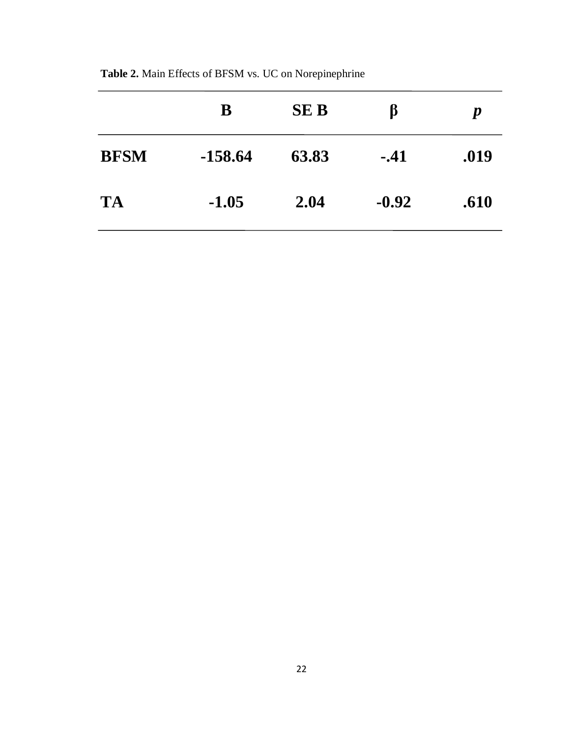|             | B         | <b>SEB</b> | ß       | $\boldsymbol{p}$ |
|-------------|-----------|------------|---------|------------------|
| <b>BFSM</b> | $-158.64$ | 63.83      | $-.41$  | .019             |
| <b>TA</b>   | $-1.05$   | 2.04       | $-0.92$ | .610             |

**Table 2.** Main Effects of BFSM vs. UC on Norepinephrine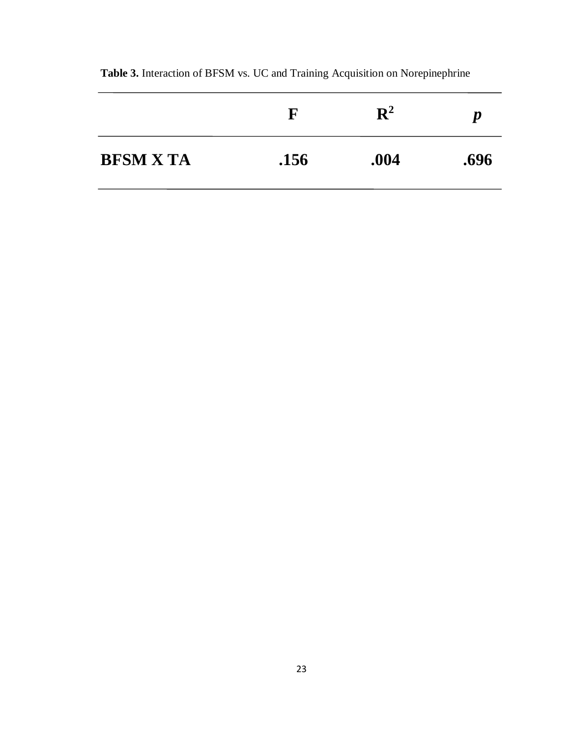|                  | $\mathbf F$ | $\mathbf{R}^2$ | $\boldsymbol{p}$ |
|------------------|-------------|----------------|------------------|
| <b>BFSM X TA</b> | .156        | .004           | .696             |

**Table 3.** Interaction of BFSM vs. UC and Training Acquisition on Norepinephrine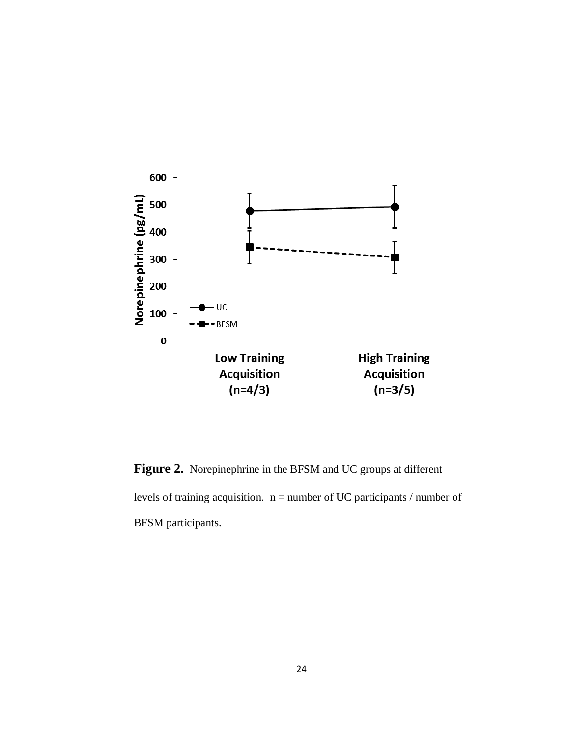

**Figure 2.** Norepinephrine in the BFSM and UC groups at different levels of training acquisition.  $n =$  number of UC participants / number of BFSM participants.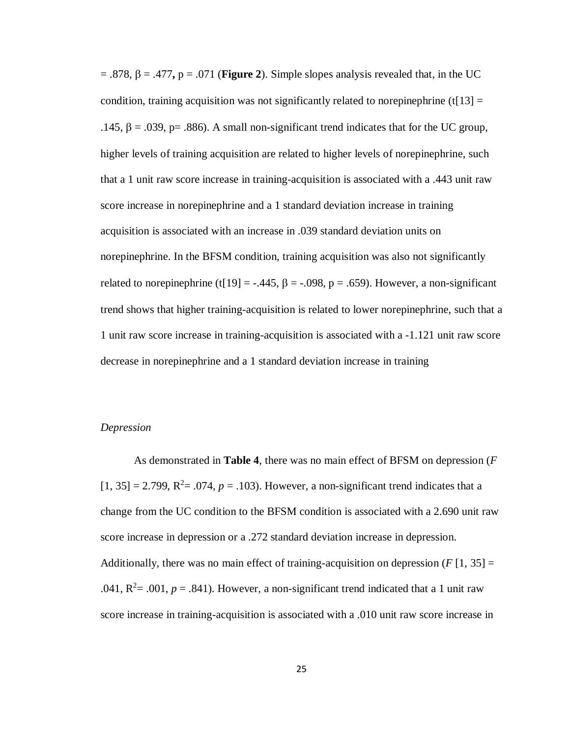$=$  .878,  $\beta = .477$ ,  $p = .071$  (**Figure 2**). Simple slopes analysis revealed that, in the UC condition, training acquisition was not significantly related to norepinephrine (t[13]  $=$ .145, β = .039, p= .886). A small non-significant trend indicates that for the UC group, higher levels of training acquisition are related to higher levels of norepinephrine, such that a 1 unit raw score increase in training-acquisition is associated with a .443 unit raw score increase in norepinephrine and a 1 standard deviation increase in training acquisition is associated with an increase in .039 standard deviation units on norepinephrine. In the BFSM condition, training acquisition was also not significantly related to norepinephrine (t[19] = -.445,  $\beta$  = -.098, p = .659). However, a non-significant trend shows that higher training-acquisition is related to lower norepinephrine, such that a 1 unit raw score increase in training-acquisition is associated with a -1.121 unit raw score decrease in norepinephrine and a 1 standard deviation increase in training

### *Depression*

As demonstrated in **Table 4**, there was no main effect of BFSM on depression (*F*  $[1, 35] = 2.799$ ,  $R^2 = .074$ ,  $p = .103$ ). However, a non-significant trend indicates that a change from the UC condition to the BFSM condition is associated with a 2.690 unit raw score increase in depression or a .272 standard deviation increase in depression. Additionally, there was no main effect of training-acquisition on depression  $(F[1, 35])$ .041,  $R^2$  = .001,  $p = .841$ ). However, a non-significant trend indicated that a 1 unit raw score increase in training-acquisition is associated with a .010 unit raw score increase in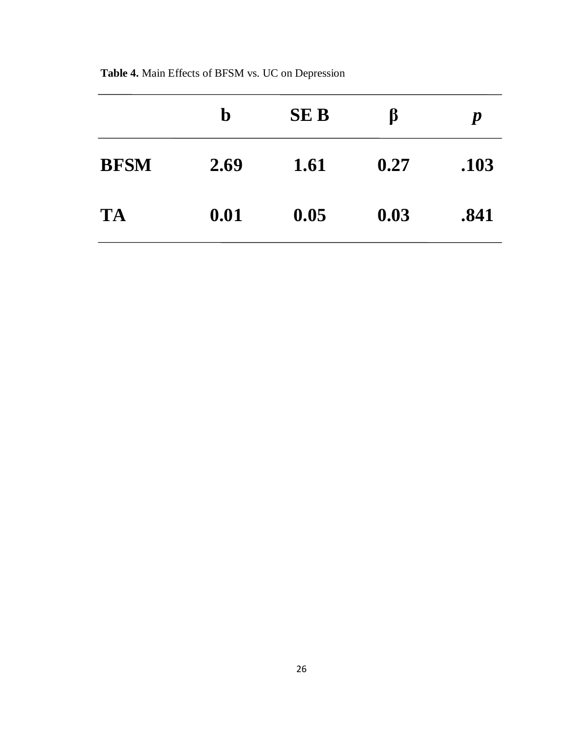|             | $\mathbf b$ | <b>SEB</b> | ß    | $\boldsymbol{p}$ |
|-------------|-------------|------------|------|------------------|
| <b>BFSM</b> | 2.69        | 1.61       | 0.27 | .103             |
| <b>TA</b>   | 0.01        | 0.05       | 0.03 | .841             |

**Table 4.** Main Effects of BFSM vs. UC on Depression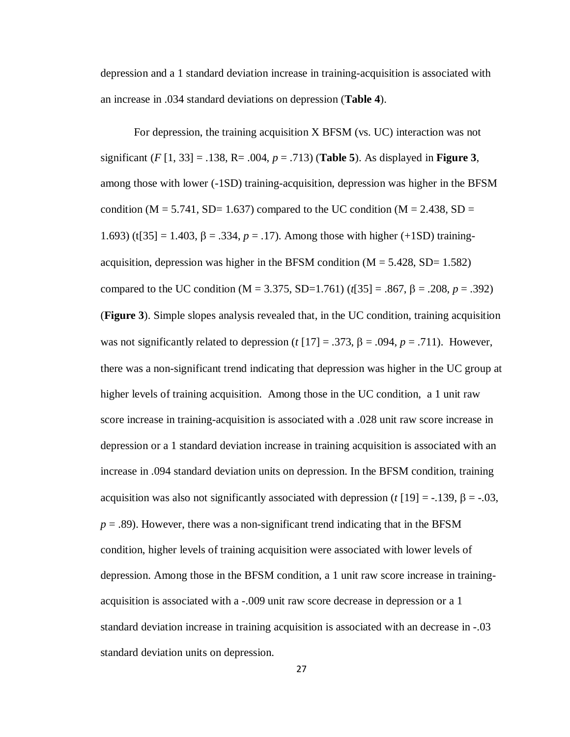depression and a 1 standard deviation increase in training-acquisition is associated with an increase in .034 standard deviations on depression (**Table 4**).

For depression, the training acquisition X BFSM (vs. UC) interaction was not significant (*F* [1, 33] = .138, R= .004, *p* = .713) (**Table 5**). As displayed in **Figure 3**, among those with lower (-1SD) training-acquisition, depression was higher in the BFSM condition ( $M = 5.741$ , SD= 1.637) compared to the UC condition ( $M = 2.438$ , SD = 1.693) (t[35] = 1.403, β = .334,  $p = .17$ ). Among those with higher (+1SD) trainingacquisition, depression was higher in the BFSM condition  $(M = 5.428, SD = 1.582)$ compared to the UC condition ( $M = 3.375$ , SD=1.761) ( $t[35] = .867$ ,  $\beta = .208$ ,  $p = .392$ ) (**Figure 3**). Simple slopes analysis revealed that, in the UC condition, training acquisition was not significantly related to depression ( $t$  [17] = .373,  $\beta$  = .094,  $p$  = .711). However, there was a non-significant trend indicating that depression was higher in the UC group at higher levels of training acquisition. Among those in the UC condition, a 1 unit raw score increase in training-acquisition is associated with a .028 unit raw score increase in depression or a 1 standard deviation increase in training acquisition is associated with an increase in .094 standard deviation units on depression. In the BFSM condition, training acquisition was also not significantly associated with depression (*t* [19] = -.139, β = -.03,  $p = .89$ ). However, there was a non-significant trend indicating that in the BFSM condition, higher levels of training acquisition were associated with lower levels of depression. Among those in the BFSM condition, a 1 unit raw score increase in trainingacquisition is associated with a -.009 unit raw score decrease in depression or a 1 standard deviation increase in training acquisition is associated with an decrease in -.03 standard deviation units on depression.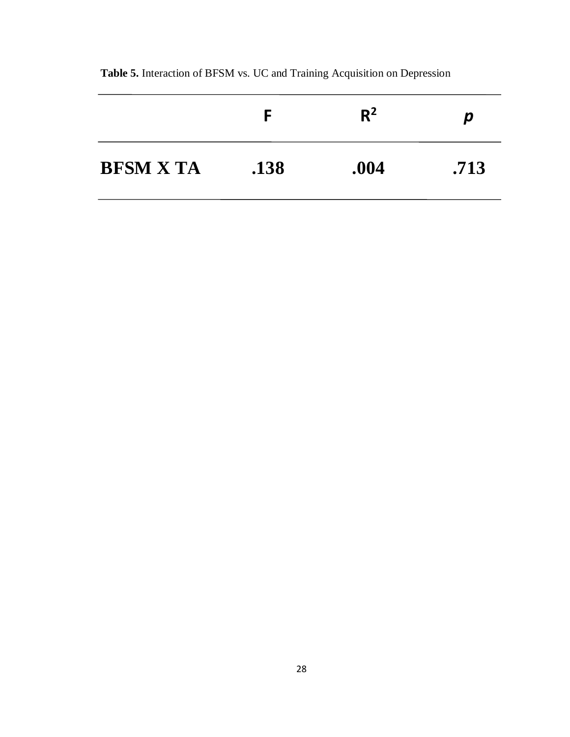|                  |      | $R^2$ | p    |
|------------------|------|-------|------|
| <b>BFSM X TA</b> | .138 | .004  | .713 |

**Table 5.** Interaction of BFSM vs. UC and Training Acquisition on Depression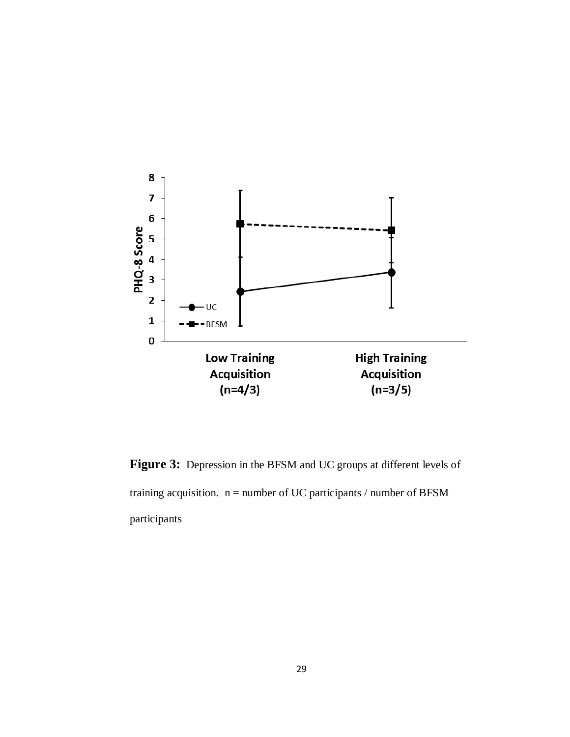

Figure 3: Depression in the BFSM and UC groups at different levels of training acquisition.  $n =$  number of UC participants / number of BFSM participants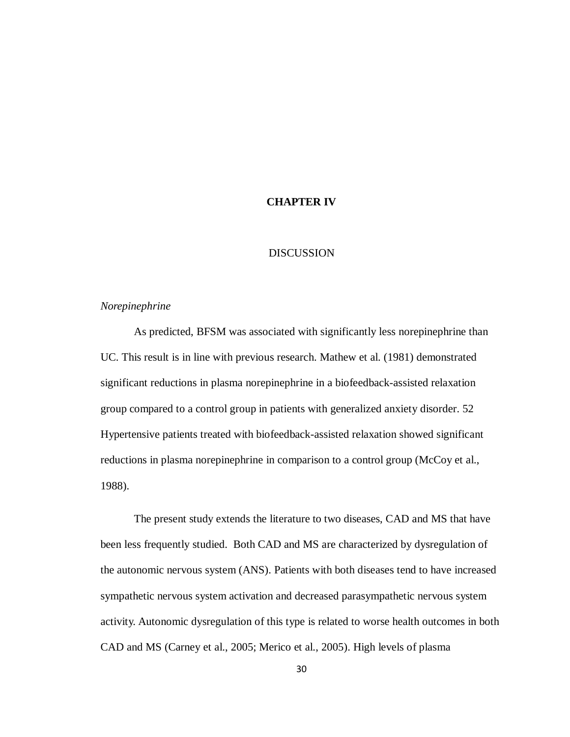# **CHAPTER IV**

# DISCUSSION

# *Norepinephrine*

As predicted, BFSM was associated with significantly less norepinephrine than UC. This result is in line with previous research. Mathew et al. (1981) demonstrated significant reductions in plasma norepinephrine in a biofeedback-assisted relaxation group compared to a control group in patients with generalized anxiety disorder. 52 Hypertensive patients treated with biofeedback-assisted relaxation showed significant reductions in plasma norepinephrine in comparison to a control group (McCoy et al., 1988).

The present study extends the literature to two diseases, CAD and MS that have been less frequently studied. Both CAD and MS are characterized by dysregulation of the autonomic nervous system (ANS). Patients with both diseases tend to have increased sympathetic nervous system activation and decreased parasympathetic nervous system activity. Autonomic dysregulation of this type is related to worse health outcomes in both CAD and MS (Carney et al., 2005; Merico et al., 2005). High levels of plasma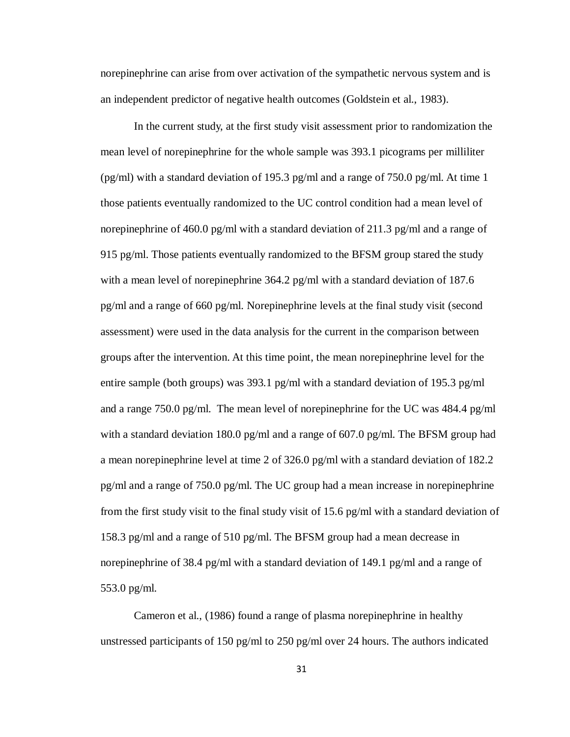norepinephrine can arise from over activation of the sympathetic nervous system and is an independent predictor of negative health outcomes (Goldstein et al., 1983).

In the current study, at the first study visit assessment prior to randomization the mean level of norepinephrine for the whole sample was 393.1 picograms per milliliter (pg/ml) with a standard deviation of 195.3 pg/ml and a range of 750.0 pg/ml. At time 1 those patients eventually randomized to the UC control condition had a mean level of norepinephrine of 460.0 pg/ml with a standard deviation of 211.3 pg/ml and a range of 915 pg/ml. Those patients eventually randomized to the BFSM group stared the study with a mean level of norepinephrine 364.2 pg/ml with a standard deviation of 187.6 pg/ml and a range of 660 pg/ml. Norepinephrine levels at the final study visit (second assessment) were used in the data analysis for the current in the comparison between groups after the intervention. At this time point, the mean norepinephrine level for the entire sample (both groups) was 393.1 pg/ml with a standard deviation of 195.3 pg/ml and a range 750.0 pg/ml. The mean level of norepinephrine for the UC was 484.4 pg/ml with a standard deviation 180.0 pg/ml and a range of 607.0 pg/ml. The BFSM group had a mean norepinephrine level at time 2 of 326.0 pg/ml with a standard deviation of 182.2 pg/ml and a range of 750.0 pg/ml. The UC group had a mean increase in norepinephrine from the first study visit to the final study visit of 15.6 pg/ml with a standard deviation of 158.3 pg/ml and a range of 510 pg/ml. The BFSM group had a mean decrease in norepinephrine of 38.4 pg/ml with a standard deviation of 149.1 pg/ml and a range of 553.0 pg/ml.

Cameron et al., (1986) found a range of plasma norepinephrine in healthy unstressed participants of 150 pg/ml to 250 pg/ml over 24 hours. The authors indicated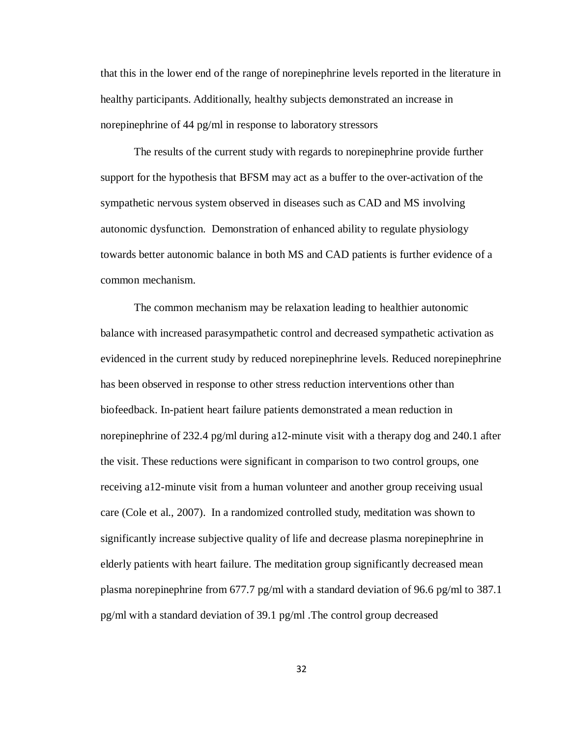that this in the lower end of the range of norepinephrine levels reported in the literature in healthy participants. Additionally, healthy subjects demonstrated an increase in norepinephrine of 44 pg/ml in response to laboratory stressors

The results of the current study with regards to norepinephrine provide further support for the hypothesis that BFSM may act as a buffer to the over-activation of the sympathetic nervous system observed in diseases such as CAD and MS involving autonomic dysfunction. Demonstration of enhanced ability to regulate physiology towards better autonomic balance in both MS and CAD patients is further evidence of a common mechanism.

The common mechanism may be relaxation leading to healthier autonomic balance with increased parasympathetic control and decreased sympathetic activation as evidenced in the current study by reduced norepinephrine levels. Reduced norepinephrine has been observed in response to other stress reduction interventions other than biofeedback. In-patient heart failure patients demonstrated a mean reduction in norepinephrine of 232.4 pg/ml during a12-minute visit with a therapy dog and 240.1 after the visit. These reductions were significant in comparison to two control groups, one receiving a12-minute visit from a human volunteer and another group receiving usual care (Cole et al., 2007). In a randomized controlled study, meditation was shown to significantly increase subjective quality of life and decrease plasma norepinephrine in elderly patients with heart failure. The meditation group significantly decreased mean plasma norepinephrine from 677.7 pg/ml with a standard deviation of 96.6 pg/ml to 387.1 pg/ml with a standard deviation of 39.1 pg/ml .The control group decreased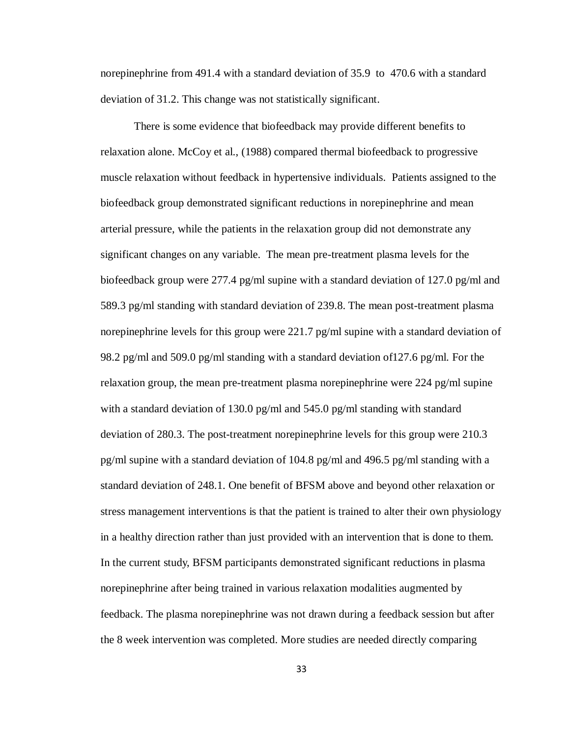norepinephrine from 491.4 with a standard deviation of 35.9 to 470.6 with a standard deviation of 31.2. This change was not statistically significant.

There is some evidence that biofeedback may provide different benefits to relaxation alone. McCoy et al., (1988) compared thermal biofeedback to progressive muscle relaxation without feedback in hypertensive individuals. Patients assigned to the biofeedback group demonstrated significant reductions in norepinephrine and mean arterial pressure, while the patients in the relaxation group did not demonstrate any significant changes on any variable. The mean pre-treatment plasma levels for the biofeedback group were 277.4 pg/ml supine with a standard deviation of 127.0 pg/ml and 589.3 pg/ml standing with standard deviation of 239.8. The mean post-treatment plasma norepinephrine levels for this group were 221.7 pg/ml supine with a standard deviation of 98.2 pg/ml and 509.0 pg/ml standing with a standard deviation of127.6 pg/ml. For the relaxation group, the mean pre-treatment plasma norepinephrine were 224 pg/ml supine with a standard deviation of 130.0 pg/ml and 545.0 pg/ml standing with standard deviation of 280.3. The post-treatment norepinephrine levels for this group were 210.3 pg/ml supine with a standard deviation of 104.8 pg/ml and 496.5 pg/ml standing with a standard deviation of 248.1. One benefit of BFSM above and beyond other relaxation or stress management interventions is that the patient is trained to alter their own physiology in a healthy direction rather than just provided with an intervention that is done to them. In the current study, BFSM participants demonstrated significant reductions in plasma norepinephrine after being trained in various relaxation modalities augmented by feedback. The plasma norepinephrine was not drawn during a feedback session but after the 8 week intervention was completed. More studies are needed directly comparing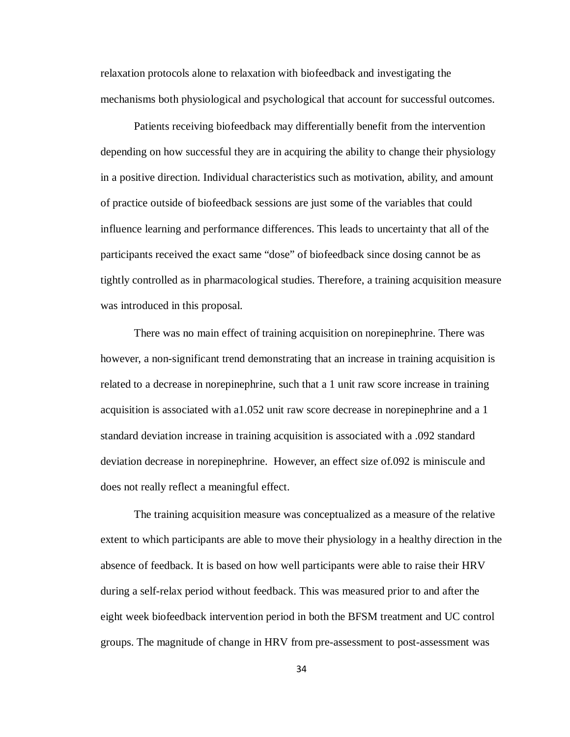relaxation protocols alone to relaxation with biofeedback and investigating the mechanisms both physiological and psychological that account for successful outcomes.

Patients receiving biofeedback may differentially benefit from the intervention depending on how successful they are in acquiring the ability to change their physiology in a positive direction. Individual characteristics such as motivation, ability, and amount of practice outside of biofeedback sessions are just some of the variables that could influence learning and performance differences. This leads to uncertainty that all of the participants received the exact same "dose" of biofeedback since dosing cannot be as tightly controlled as in pharmacological studies. Therefore, a training acquisition measure was introduced in this proposal.

There was no main effect of training acquisition on norepinephrine. There was however, a non-significant trend demonstrating that an increase in training acquisition is related to a decrease in norepinephrine, such that a 1 unit raw score increase in training acquisition is associated with a1.052 unit raw score decrease in norepinephrine and a 1 standard deviation increase in training acquisition is associated with a .092 standard deviation decrease in norepinephrine. However, an effect size of.092 is miniscule and does not really reflect a meaningful effect.

The training acquisition measure was conceptualized as a measure of the relative extent to which participants are able to move their physiology in a healthy direction in the absence of feedback. It is based on how well participants were able to raise their HRV during a self-relax period without feedback. This was measured prior to and after the eight week biofeedback intervention period in both the BFSM treatment and UC control groups. The magnitude of change in HRV from pre-assessment to post-assessment was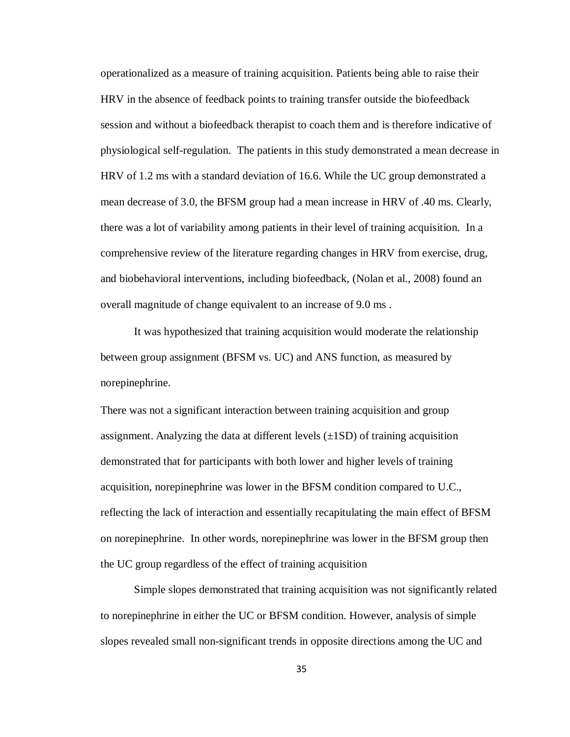operationalized as a measure of training acquisition. Patients being able to raise their HRV in the absence of feedback points to training transfer outside the biofeedback session and without a biofeedback therapist to coach them and is therefore indicative of physiological self-regulation. The patients in this study demonstrated a mean decrease in HRV of 1.2 ms with a standard deviation of 16.6. While the UC group demonstrated a mean decrease of 3.0, the BFSM group had a mean increase in HRV of .40 ms. Clearly, there was a lot of variability among patients in their level of training acquisition. In a comprehensive review of the literature regarding changes in HRV from exercise, drug, and biobehavioral interventions, including biofeedback, (Nolan et al., 2008) found an overall magnitude of change equivalent to an increase of 9.0 ms .

It was hypothesized that training acquisition would moderate the relationship between group assignment (BFSM vs. UC) and ANS function, as measured by norepinephrine.

There was not a significant interaction between training acquisition and group assignment. Analyzing the data at different levels  $(\pm 1SD)$  of training acquisition demonstrated that for participants with both lower and higher levels of training acquisition, norepinephrine was lower in the BFSM condition compared to U.C., reflecting the lack of interaction and essentially recapitulating the main effect of BFSM on norepinephrine. In other words, norepinephrine was lower in the BFSM group then the UC group regardless of the effect of training acquisition

Simple slopes demonstrated that training acquisition was not significantly related to norepinephrine in either the UC or BFSM condition. However, analysis of simple slopes revealed small non-significant trends in opposite directions among the UC and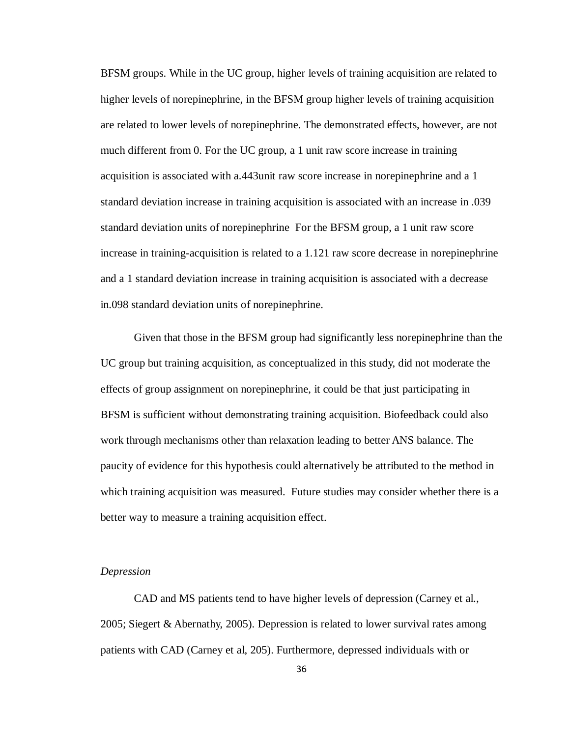BFSM groups. While in the UC group, higher levels of training acquisition are related to higher levels of norepinephrine, in the BFSM group higher levels of training acquisition are related to lower levels of norepinephrine. The demonstrated effects, however, are not much different from 0. For the UC group, a 1 unit raw score increase in training acquisition is associated with a.443unit raw score increase in norepinephrine and a 1 standard deviation increase in training acquisition is associated with an increase in .039 standard deviation units of norepinephrine For the BFSM group, a 1 unit raw score increase in training-acquisition is related to a 1.121 raw score decrease in norepinephrine and a 1 standard deviation increase in training acquisition is associated with a decrease in.098 standard deviation units of norepinephrine.

Given that those in the BFSM group had significantly less norepinephrine than the UC group but training acquisition, as conceptualized in this study, did not moderate the effects of group assignment on norepinephrine, it could be that just participating in BFSM is sufficient without demonstrating training acquisition. Biofeedback could also work through mechanisms other than relaxation leading to better ANS balance. The paucity of evidence for this hypothesis could alternatively be attributed to the method in which training acquisition was measured. Future studies may consider whether there is a better way to measure a training acquisition effect.

# *Depression*

CAD and MS patients tend to have higher levels of depression (Carney et al., 2005; Siegert & Abernathy, 2005). Depression is related to lower survival rates among patients with CAD (Carney et al, 205). Furthermore, depressed individuals with or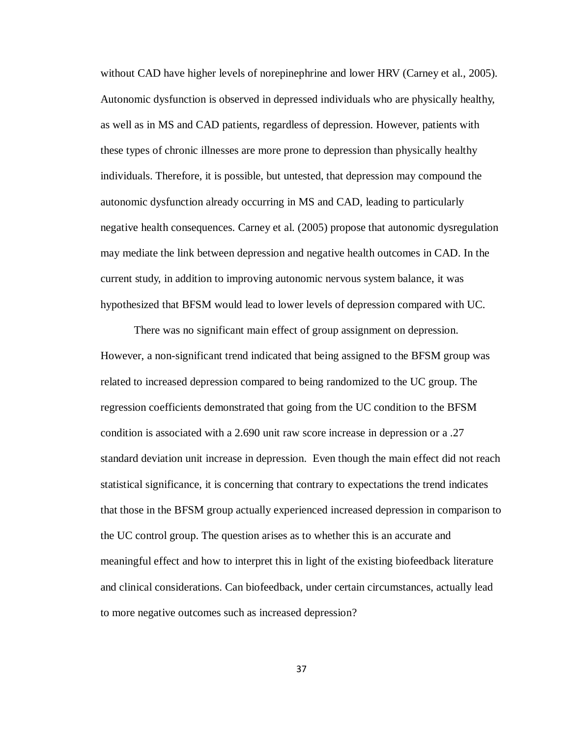without CAD have higher levels of norepinephrine and lower HRV (Carney et al., 2005). Autonomic dysfunction is observed in depressed individuals who are physically healthy, as well as in MS and CAD patients, regardless of depression. However, patients with these types of chronic illnesses are more prone to depression than physically healthy individuals. Therefore, it is possible, but untested, that depression may compound the autonomic dysfunction already occurring in MS and CAD, leading to particularly negative health consequences. Carney et al. (2005) propose that autonomic dysregulation may mediate the link between depression and negative health outcomes in CAD. In the current study, in addition to improving autonomic nervous system balance, it was hypothesized that BFSM would lead to lower levels of depression compared with UC.

There was no significant main effect of group assignment on depression. However, a non-significant trend indicated that being assigned to the BFSM group was related to increased depression compared to being randomized to the UC group. The regression coefficients demonstrated that going from the UC condition to the BFSM condition is associated with a 2.690 unit raw score increase in depression or a .27 standard deviation unit increase in depression. Even though the main effect did not reach statistical significance, it is concerning that contrary to expectations the trend indicates that those in the BFSM group actually experienced increased depression in comparison to the UC control group. The question arises as to whether this is an accurate and meaningful effect and how to interpret this in light of the existing biofeedback literature and clinical considerations. Can biofeedback, under certain circumstances, actually lead to more negative outcomes such as increased depression?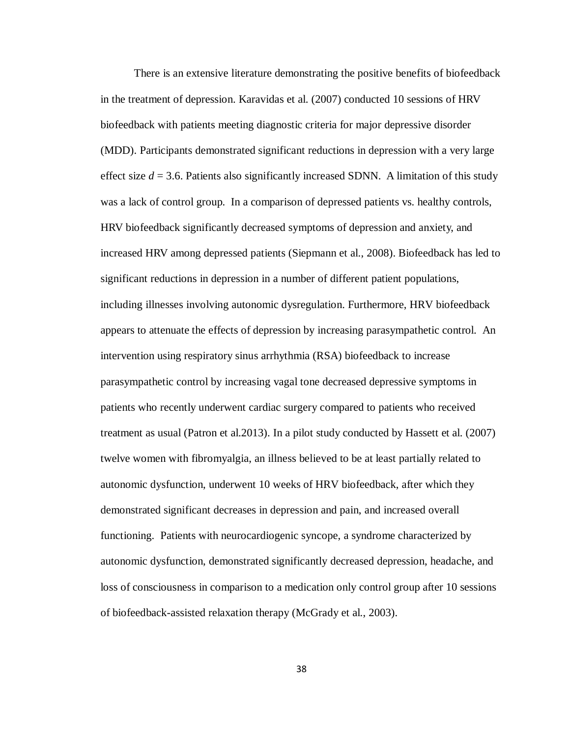There is an extensive literature demonstrating the positive benefits of biofeedback in the treatment of depression. Karavidas et al. (2007) conducted 10 sessions of HRV biofeedback with patients meeting diagnostic criteria for major depressive disorder (MDD). Participants demonstrated significant reductions in depression with a very large effect size  $d = 3.6$ . Patients also significantly increased SDNN. A limitation of this study was a lack of control group. In a comparison of depressed patients vs. healthy controls, HRV biofeedback significantly decreased symptoms of depression and anxiety, and increased HRV among depressed patients (Siepmann et al., 2008). Biofeedback has led to significant reductions in depression in a number of different patient populations, including illnesses involving autonomic dysregulation. Furthermore, HRV biofeedback appears to attenuate the effects of depression by increasing parasympathetic control. An intervention using respiratory sinus arrhythmia (RSA) biofeedback to increase parasympathetic control by increasing vagal tone decreased depressive symptoms in patients who recently underwent cardiac surgery compared to patients who received treatment as usual (Patron et al.2013). In a pilot study conducted by Hassett et al. (2007) twelve women with fibromyalgia, an illness believed to be at least partially related to autonomic dysfunction, underwent 10 weeks of HRV biofeedback, after which they demonstrated significant decreases in depression and pain, and increased overall functioning. Patients with neurocardiogenic syncope, a syndrome characterized by autonomic dysfunction, demonstrated significantly decreased depression, headache, and loss of consciousness in comparison to a medication only control group after 10 sessions of biofeedback-assisted relaxation therapy (McGrady et al., 2003).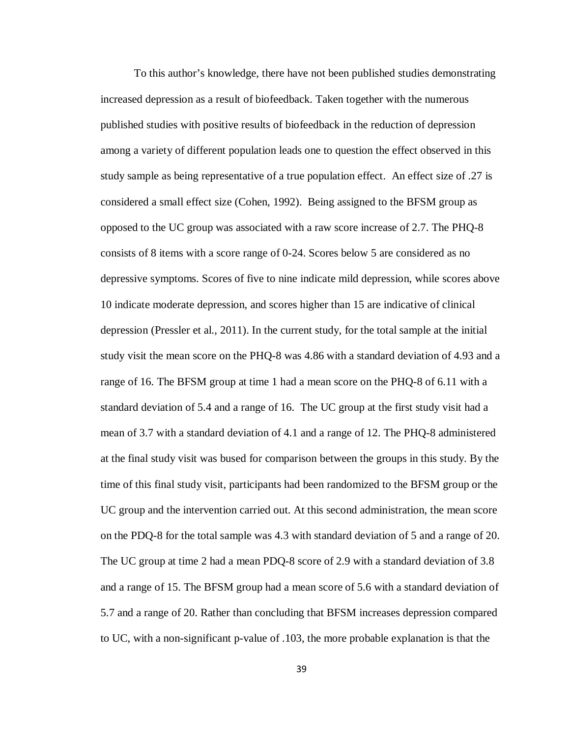To this author's knowledge, there have not been published studies demonstrating increased depression as a result of biofeedback. Taken together with the numerous published studies with positive results of biofeedback in the reduction of depression among a variety of different population leads one to question the effect observed in this study sample as being representative of a true population effect. An effect size of .27 is considered a small effect size (Cohen, 1992). Being assigned to the BFSM group as opposed to the UC group was associated with a raw score increase of 2.7. The PHQ-8 consists of 8 items with a score range of 0-24. Scores below 5 are considered as no depressive symptoms. Scores of five to nine indicate mild depression, while scores above 10 indicate moderate depression, and scores higher than 15 are indicative of clinical depression (Pressler et al., 2011). In the current study, for the total sample at the initial study visit the mean score on the PHQ-8 was 4.86 with a standard deviation of 4.93 and a range of 16. The BFSM group at time 1 had a mean score on the PHQ-8 of 6.11 with a standard deviation of 5.4 and a range of 16. The UC group at the first study visit had a mean of 3.7 with a standard deviation of 4.1 and a range of 12. The PHQ-8 administered at the final study visit was bused for comparison between the groups in this study. By the time of this final study visit, participants had been randomized to the BFSM group or the UC group and the intervention carried out. At this second administration, the mean score on the PDQ-8 for the total sample was 4.3 with standard deviation of 5 and a range of 20. The UC group at time 2 had a mean PDQ-8 score of 2.9 with a standard deviation of 3.8 and a range of 15. The BFSM group had a mean score of 5.6 with a standard deviation of 5.7 and a range of 20. Rather than concluding that BFSM increases depression compared to UC, with a non-significant p-value of .103, the more probable explanation is that the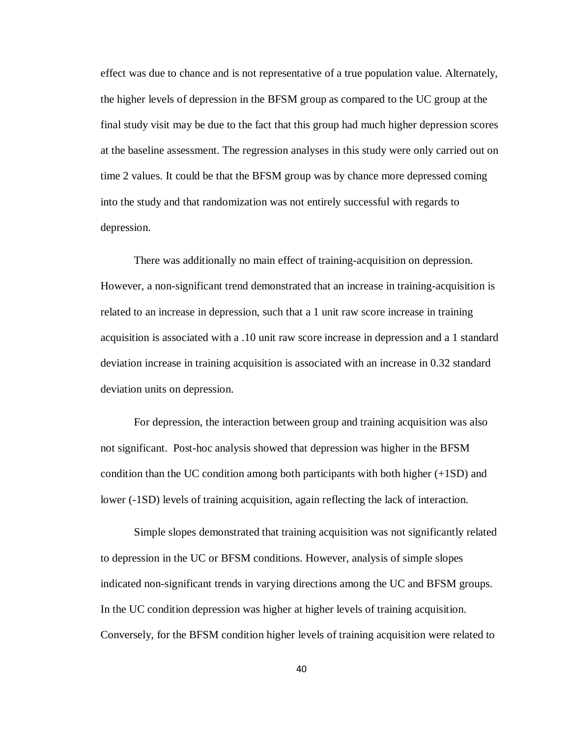effect was due to chance and is not representative of a true population value. Alternately, the higher levels of depression in the BFSM group as compared to the UC group at the final study visit may be due to the fact that this group had much higher depression scores at the baseline assessment. The regression analyses in this study were only carried out on time 2 values. It could be that the BFSM group was by chance more depressed coming into the study and that randomization was not entirely successful with regards to depression.

There was additionally no main effect of training-acquisition on depression. However, a non-significant trend demonstrated that an increase in training-acquisition is related to an increase in depression, such that a 1 unit raw score increase in training acquisition is associated with a .10 unit raw score increase in depression and a 1 standard deviation increase in training acquisition is associated with an increase in 0.32 standard deviation units on depression.

For depression, the interaction between group and training acquisition was also not significant. Post-hoc analysis showed that depression was higher in the BFSM condition than the UC condition among both participants with both higher (+1SD) and lower (-1SD) levels of training acquisition, again reflecting the lack of interaction.

Simple slopes demonstrated that training acquisition was not significantly related to depression in the UC or BFSM conditions. However, analysis of simple slopes indicated non-significant trends in varying directions among the UC and BFSM groups. In the UC condition depression was higher at higher levels of training acquisition. Conversely, for the BFSM condition higher levels of training acquisition were related to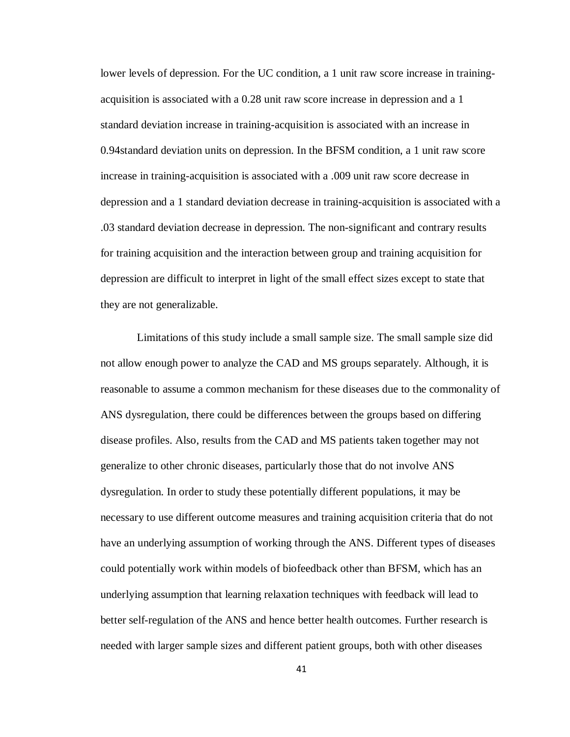lower levels of depression. For the UC condition, a 1 unit raw score increase in trainingacquisition is associated with a 0.28 unit raw score increase in depression and a 1 standard deviation increase in training-acquisition is associated with an increase in 0.94standard deviation units on depression. In the BFSM condition, a 1 unit raw score increase in training-acquisition is associated with a .009 unit raw score decrease in depression and a 1 standard deviation decrease in training-acquisition is associated with a .03 standard deviation decrease in depression. The non-significant and contrary results for training acquisition and the interaction between group and training acquisition for depression are difficult to interpret in light of the small effect sizes except to state that they are not generalizable.

Limitations of this study include a small sample size. The small sample size did not allow enough power to analyze the CAD and MS groups separately. Although, it is reasonable to assume a common mechanism for these diseases due to the commonality of ANS dysregulation, there could be differences between the groups based on differing disease profiles. Also, results from the CAD and MS patients taken together may not generalize to other chronic diseases, particularly those that do not involve ANS dysregulation. In order to study these potentially different populations, it may be necessary to use different outcome measures and training acquisition criteria that do not have an underlying assumption of working through the ANS. Different types of diseases could potentially work within models of biofeedback other than BFSM, which has an underlying assumption that learning relaxation techniques with feedback will lead to better self-regulation of the ANS and hence better health outcomes. Further research is needed with larger sample sizes and different patient groups, both with other diseases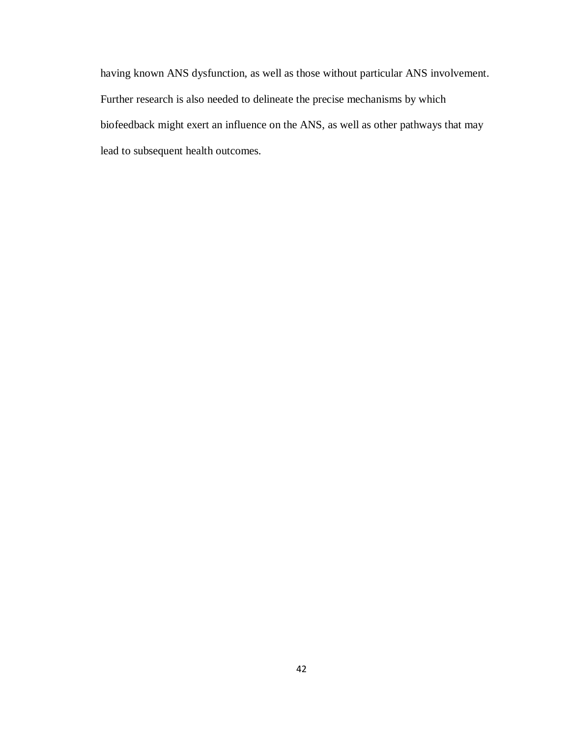having known ANS dysfunction, as well as those without particular ANS involvement. Further research is also needed to delineate the precise mechanisms by which biofeedback might exert an influence on the ANS, as well as other pathways that may lead to subsequent health outcomes.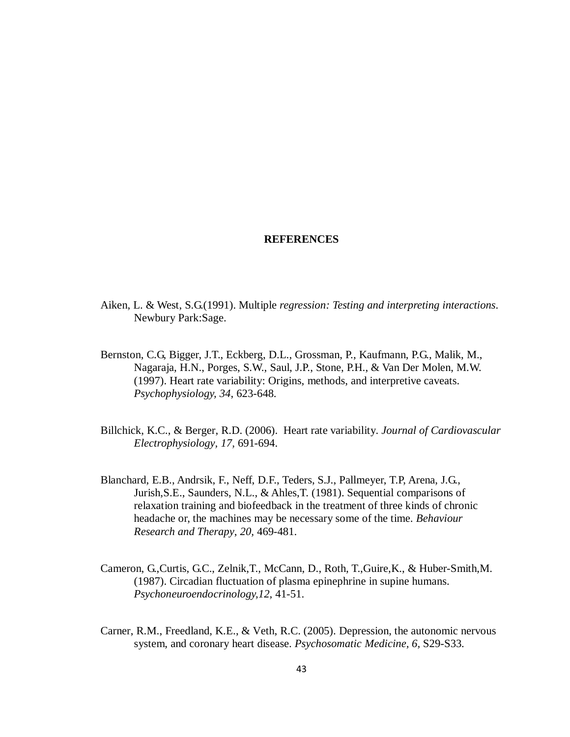#### **REFERENCES**

- Aiken, L. & West, S.G.(1991). Multiple *regression: Testing and interpreting interactions*. Newbury Park:Sage.
- Bernston, C.G, Bigger, J.T., Eckberg, D.L., Grossman, P., Kaufmann, P.G., Malik, M., Nagaraja, H.N., Porges, S.W., Saul, J.P., Stone, P.H., & Van Der Molen, M.W. (1997). Heart rate variability: Origins, methods, and interpretive caveats. *Psychophysiology, 34*, 623-648.
- Billchick, K.C., & Berger, R.D. (2006). Heart rate variability. *Journal of Cardiovascular Electrophysiology, 17,* 691-694.
- Blanchard, E.B., Andrsik, F., Neff, D.F., Teders, S.J., Pallmeyer, T.P, Arena, J.G., Jurish,S.E., Saunders, N.L., & Ahles,T. (1981). Sequential comparisons of relaxation training and biofeedback in the treatment of three kinds of chronic headache or, the machines may be necessary some of the time. *Behaviour Research and Therapy*, *20,* 469-481.
- Cameron, G.,Curtis, G.C., Zelnik,T., McCann, D., Roth, T.,Guire,K., & Huber-Smith,M. (1987). Circadian fluctuation of plasma epinephrine in supine humans. *Psychoneuroendocrinology,12,* 41-51.
- Carner, R.M., Freedland, K.E., & Veth, R.C. (2005). Depression, the autonomic nervous system, and coronary heart disease. *Psychosomatic Medicine, 6,* S29-S33.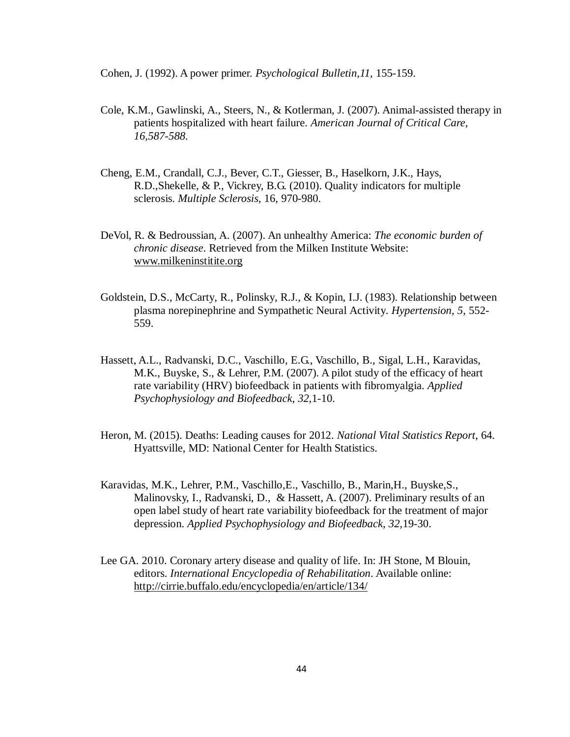Cohen, J. (1992). A power primer. *Psychological Bulletin,11,* 155-159.

- Cole, K.M., Gawlinski, A., Steers, N., & Kotlerman, J. (2007). Animal-assisted therapy in patients hospitalized with heart failure. *American Journal of Critical Care, 16,587-588.*
- Cheng, E.M., Crandall, C.J., Bever, C.T., Giesser, B., Haselkorn, J.K., Hays, R.D.,Shekelle, & P., Vickrey, B.G. (2010). Quality indicators for multiple sclerosis. *Multiple Sclerosis*, 16, 970-980.
- DeVol, R. & Bedroussian, A. (2007). An unhealthy America: *The economic burden of chronic disease*. Retrieved from the Milken Institute Website: [www.milkeninstitite.org](http://www.milkeninstitite.org/)
- Goldstein, D.S., McCarty, R., Polinsky, R.J., & Kopin, I.J. (1983). Relationship between plasma norepinephrine and Sympathetic Neural Activity. *Hypertension, 5,* 552- 559.
- Hassett, A.L., Radvanski, D.C., Vaschillo, E.G., Vaschillo, B., Sigal, L.H., Karavidas, M.K., Buyske, S., & Lehrer, P.M. (2007). A pilot study of the efficacy of heart rate variability (HRV) biofeedback in patients with fibromyalgia. *Applied Psychophysiology and Biofeedback*, *32,*1-10.
- Heron, M. (2015). Deaths: Leading causes for 2012. *National Vital Statistics Report*, 64. Hyattsville, MD: National Center for Health Statistics.
- Karavidas, M.K., Lehrer, P.M., Vaschillo,E., Vaschillo, B., Marin,H., Buyske,S., Malinovsky, I., Radvanski, D., & Hassett, A. (2007). Preliminary results of an open label study of heart rate variability biofeedback for the treatment of major depression. *Applied Psychophysiology and Biofeedback, 32,*19-30.
- Lee GA. 2010. Coronary artery disease and quality of life. In: JH Stone, M Blouin, editors. *International Encyclopedia of Rehabilitation*. Available online: <http://cirrie.buffalo.edu/encyclopedia/en/article/134/>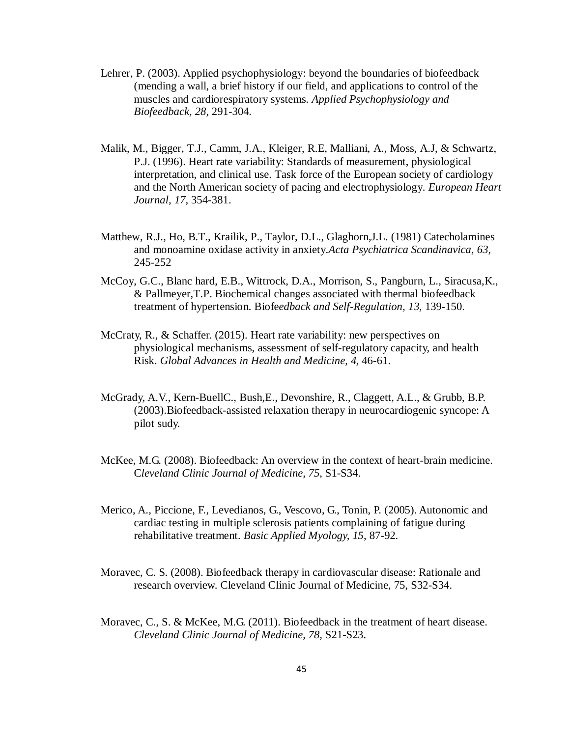- Lehrer, P. (2003). Applied psychophysiology: beyond the boundaries of biofeedback (mending a wall, a brief history if our field, and applications to control of the muscles and cardiorespiratory systems. *Applied Psychophysiology and Biofeedback, 28,* 291-304.
- Malik, M., Bigger, T.J., Camm, J.A., Kleiger, R.E, Malliani, A., Moss, A.J, & Schwartz, P.J. (1996). Heart rate variability: Standards of measurement, physiological interpretation, and clinical use. Task force of the European society of cardiology and the North American society of pacing and electrophysiology. *European Heart Journal, 17,* 354-381.
- Matthew, R.J., Ho, B.T., Krailik, P., Taylor, D.L., Glaghorn,J.L. (1981) Catecholamines and monoamine oxidase activity in anxiety.*Acta Psychiatrica Scandinavica, 63*, 245-252
- McCoy, G.C., Blanc hard, E.B., Wittrock, D.A., Morrison, S., Pangburn, L., Siracusa,K., & Pallmeyer,T.P. Biochemical changes associated with thermal biofeedback treatment of hypertension. Biofe*edback and Self-Regulation, 13,* 139-150.
- McCraty, R., & Schaffer. (2015). Heart rate variability: new perspectives on physiological mechanisms, assessment of self-regulatory capacity, and health Risk. *Global Advances in Health and Medicine, 4,* 46-61.
- McGrady, A.V., Kern-BuellC., Bush,E., Devonshire, R., Claggett, A.L., & Grubb, B.P. (2003).Biofeedback-assisted relaxation therapy in neurocardiogenic syncope: A pilot sudy.
- McKee, M.G. (2008). Biofeedback: An overview in the context of heart-brain medicine. C*leveland Clinic Journal of Medicine, 75*, S1-S34.
- Merico, A., Piccione, F., Levedianos, G., Vescovo, G., Tonin, P. (2005). Autonomic and cardiac testing in multiple sclerosis patients complaining of fatigue during rehabilitative treatment. *Basic Applied Myology, 15*, 87-92.
- Moravec, C. S. (2008). Biofeedback therapy in cardiovascular disease: Rationale and research overview. Cleveland Clinic Journal of Medicine, 75, S32-S34.
- Moravec, C., S. & McKee, M.G. (2011). Biofeedback in the treatment of heart disease. *Cleveland Clinic Journal of Medicine, 78,* S21-S23.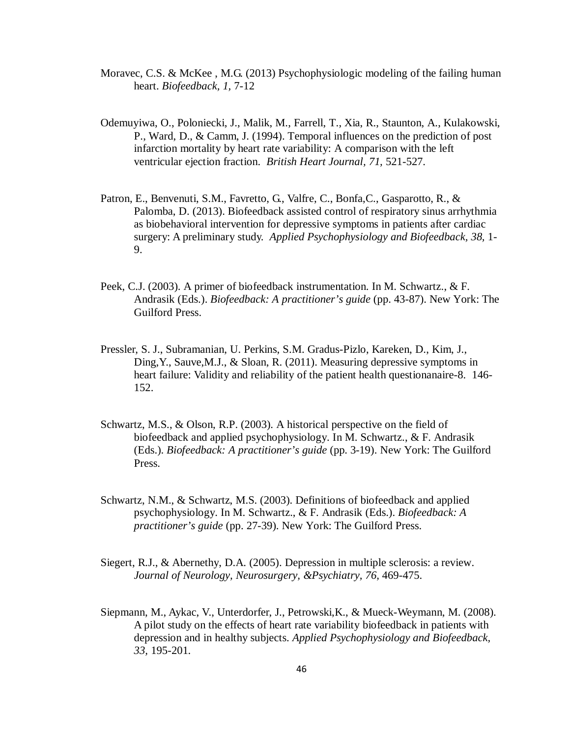- Moravec, C.S. & McKee , M.G. (2013) Psychophysiologic modeling of the failing human heart. *Biofeedback, 1,* 7-12
- Odemuyiwa, O., Poloniecki, J., Malik, M., Farrell, T., Xia, R., Staunton, A., Kulakowski, P., Ward, D., & Camm, J. (1994). Temporal influences on the prediction of post infarction mortality by heart rate variability: A comparison with the left ventricular ejection fraction. *British Heart Journal, 71,* 521-527.
- Patron, E., Benvenuti, S.M., Favretto, G., Valfre, C., Bonfa,C., Gasparotto, R., & Palomba, D. (2013). Biofeedback assisted control of respiratory sinus arrhythmia as biobehavioral intervention for depressive symptoms in patients after cardiac surgery: A preliminary study. *Applied Psychophysiology and Biofeedback, 38,* 1- 9.
- Peek, C.J. (2003). A primer of biofeedback instrumentation. In M. Schwartz., & F. Andrasik (Eds.). *Biofeedback: A practitioner's guide* (pp. 43-87). New York: The Guilford Press.
- Pressler, S. J., Subramanian, U. Perkins, S.M. Gradus-Pizlo, Kareken, D., Kim, J., Ding,Y., Sauve,M.J., & Sloan, R. (2011). Measuring depressive symptoms in heart failure: Validity and reliability of the patient health questionanaire-8. 146- 152.
- Schwartz, M.S., & Olson, R.P. (2003). A historical perspective on the field of biofeedback and applied psychophysiology. In M. Schwartz., & F. Andrasik (Eds.). *Biofeedback: A practitioner's guide* (pp. 3-19). New York: The Guilford Press.
- Schwartz, N.M., & Schwartz, M.S. (2003). Definitions of biofeedback and applied psychophysiology. In M. Schwartz., & F. Andrasik (Eds.). *Biofeedback: A practitioner's guide* (pp. 27-39). New York: The Guilford Press.
- Siegert, R.J., & Abernethy, D.A. (2005). Depression in multiple sclerosis: a review. *Journal of Neurology, Neurosurgery, &Psychiatry, 76,* 469-475.
- Siepmann, M., Aykac, V., Unterdorfer, J., Petrowski,K., & Mueck-Weymann, M. (2008). A pilot study on the effects of heart rate variability biofeedback in patients with depression and in healthy subjects. *Applied Psychophysiology and Biofeedback, 33,* 195-201.